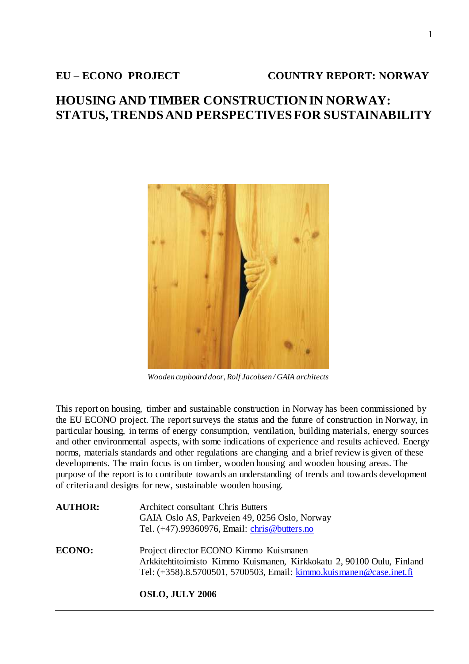# **EU – ECONO PROJECT COUNTRY REPORT: NORWAY**

# **HOUSING AND TIMBER CONSTRUCTION IN NORWAY: STATUS, TRENDS AND PERSPECTIVES FOR SUSTAINABILITY**



 *Wooden cupboard door, Rolf Jacobsen / GAIA architects*

This report on housing, timber and sustainable construction in Norway has been commissioned by the EU ECONO project. The report surveys the status and the future of construction in Norway, in particular housing, in terms of energy consumption, ventilation, building materials, energy sources and other environmental aspects, with some indications of experience and results achieved. Energy norms, materials standards and other regulations are changing and a brief review is given of these developments. The main focus is on timber, wooden housing and wooden housing areas. The purpose of the report is to contribute towards an understanding of trends and towards development of criteria and designs for new, sustainable wooden housing.

| <b>AUTHOR:</b> | Architect consultant Chris Butters<br>GAIA Oslo AS, Parkveien 49, 0256 Oslo, Norway<br>Tel. (+47).99360976, Email: chris@butters.no                                                    |
|----------------|----------------------------------------------------------------------------------------------------------------------------------------------------------------------------------------|
| <b>ECONO:</b>  | Project director ECONO Kimmo Kuismanen<br>Arkkitehtitoimisto Kimmo Kuismanen, Kirkkokatu 2, 90100 Oulu, Finland<br>Tel: (+358).8.5700501, 5700503, Email: kimmo.kuismanen@case.inet.fi |
|                | <b>OSLO, JULY 2006</b>                                                                                                                                                                 |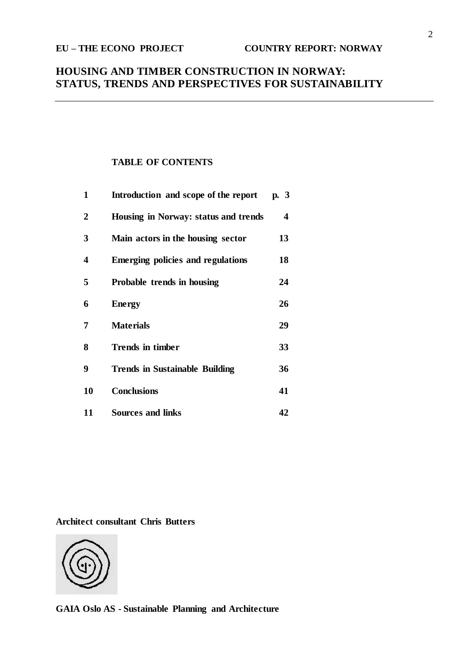# **HOUSING AND TIMBER CONSTRUCTION IN NORWAY: STATUS, TRENDS AND PERSPECTIVES FOR SUSTAINABILITY**

# **TABLE OF CONTENTS**

| 1                       | Introduction and scope of the report     | p. $3$ |
|-------------------------|------------------------------------------|--------|
| $\overline{2}$          | Housing in Norway: status and trends     | 4      |
| 3                       | Main actors in the housing sector        | 13     |
| $\overline{\mathbf{4}}$ | <b>Emerging policies and regulations</b> | 18     |
| 5                       | Probable trends in housing               | 24     |
| 6                       | <b>Energy</b>                            | 26     |
| 7                       | <b>Materials</b>                         | 29     |
| 8                       | <b>Trends in timber</b>                  | 33     |
| 9                       | <b>Trends in Sustainable Building</b>    | 36     |
| 10                      | <b>Conclusions</b>                       | 41     |
| 11                      | <b>Sources and links</b>                 | 42     |

**Architect consultant Chris Butters**



**GAIA Oslo AS - Sustainable Planning and Architecture**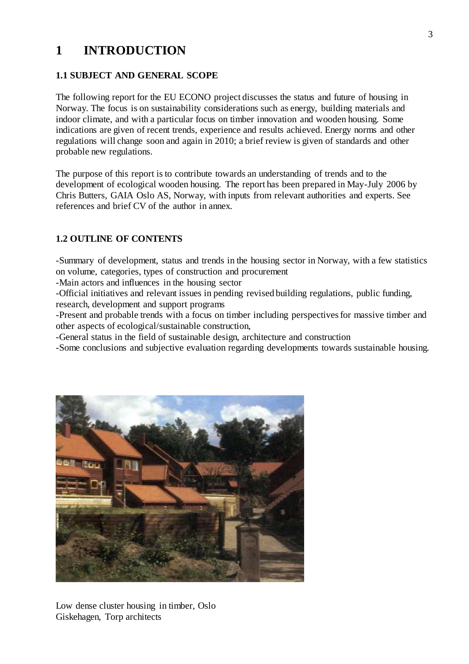# **1 INTRODUCTION**

# **1.1 SUBJECT AND GENERAL SCOPE**

The following report for the EU ECONO project discusses the status and future of housing in Norway. The focus is on sustainability considerations such as energy, building materials and indoor climate, and with a particular focus on timber innovation and wooden housing. Some indications are given of recent trends, experience and results achieved. Energy norms and other regulations will change soon and again in 2010; a brief review is given of standards and other probable new regulations.

The purpose of this report is to contribute towards an understanding of trends and to the development of ecological wooden housing. The report has been prepared in May-July 2006 by Chris Butters, GAIA Oslo AS, Norway, with inputs from relevant authorities and experts. See references and brief CV of the author in annex.

# **1.2 OUTLINE OF CONTENTS**

-Summary of development, status and trends in the housing sector in Norway, with a few statistics on volume, categories, types of construction and procurement

-Main actors and influences in the housing sector

-Official initiatives and relevant issues in pending revised building regulations, public funding,

research, development and support programs

-Present and probable trends with a focus on timber including perspectives for massive timber and other aspects of ecological/sustainable construction,

-General status in the field of sustainable design, architecture and construction

-Some conclusions and subjective evaluation regarding developments towards sustainable housing.



Low dense cluster housing in timber, Oslo Giskehagen, Torp architects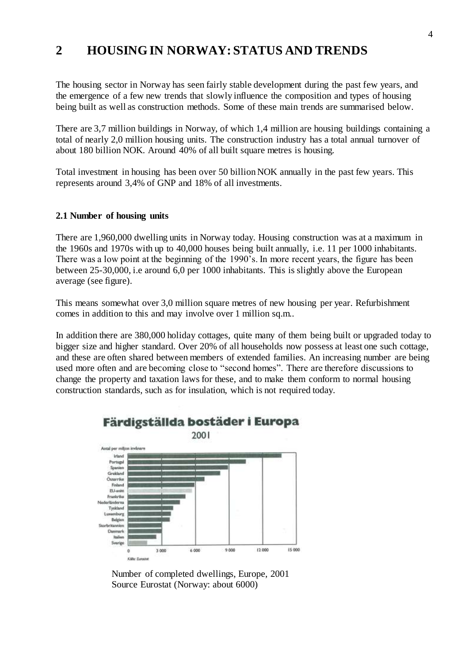# **2 HOUSING IN NORWAY: STATUS AND TRENDS**

The housing sector in Norway has seen fairly stable development during the past few years, and the emergence of a few new trends that slowly influence the composition and types of housing being built as well as construction methods. Some of these main trends are summarised below.

There are 3,7 million buildings in Norway, of which 1,4 million are housing buildings containing a total of nearly 2,0 million housing units. The construction industry has a total annual turnover of about 180 billion NOK. Around 40% of all built square metres is housing.

Total investment in housing has been over 50 billion NOK annually in the past few years. This represents around 3,4% of GNP and 18% of all investments.

### **2.1 Number of housing units**

There are 1,960,000 dwelling units in Norway today. Housing construction was at a maximum in the 1960s and 1970s with up to 40,000 houses being built annually, i.e. 11 per 1000 inhabitants. There was a low point at the beginning of the 1990's. In more recent years, the figure has been between 25-30,000, i.e around 6,0 per 1000 inhabitants. This is slightly above the European average (see figure).

This means somewhat over 3,0 million square metres of new housing per year. Refurbishment comes in addition to this and may involve over 1 million sq.m..

In addition there are 380,000 holiday cottages, quite many of them being built or upgraded today to bigger size and higher standard. Over 20% of all households now possess at least one such cottage, and these are often shared between members of extended families. An increasing number are being used more often and are becoming close to "second homes". There are therefore discussions to change the property and taxation laws for these, and to make them conform to normal housing construction standards, such as for insulation, which is not required today.



Färdigställda bostäder i Europa

Number of completed dwellings, Europe, 2001 Source Eurostat (Norway: about 6000)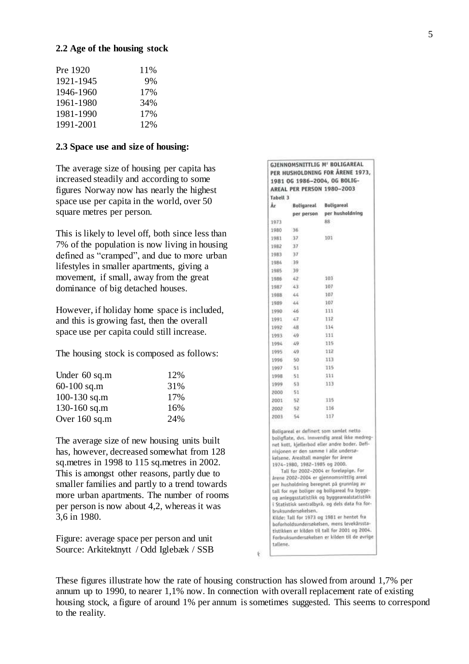#### **2.2 Age of the housing stock**

| 11\% |
|------|
| 9%   |
| 17%  |
| 34%  |
| 17%  |
| 12%  |
|      |

#### **2.3 Space use and size of housing:**

The average size of housing per capita has increased steadily and according to some figures Norway now has nearly the highest space use per capita in the world, over 50 square metres per person.

This is likely to level off, both since less than 7% of the population is now living in housing defined as "cramped", and due to more urban lifestyles in smaller apartments, giving a movement, if small, away from the great dominance of big detached houses.

However, if holiday home space is included, and this is growing fast, then the overall space use per capita could still increase.

The housing stock is composed as follows:

| 12% |
|-----|
| 31% |
| 17% |
| 16% |
| 24% |
|     |

The average size of new housing units built has, however, decreased somewhat from 128 sq.metres in 1998 to 115 sq.metres in 2002. This is amongst other reasons, partly due to smaller families and partly to a trend towards more urban apartments. The number of rooms per person is now about 4,2, whereas it was 3,6 in 1980.

Figure: average space per person and unit Source: Arkitektnytt / Odd Iglebæk / SSB **GJENNOMSNITTLIG M' BOLIGAREAL** PER HUSHOLDNING FOR ÅRENE 1973, 1981 06 1986-2004, 06 BOLIG-AREAL PER PERSON 1980-2003 Tabell 3 Âr Boligareal **Boligareal** per husholdning per person  $1023$ 88 1980 36  $37$ 101 1981 1982  $\overline{37}$ 1983  $37$ 1984 39 1985 39 1986 42 103  $43$ 107 1987 1988  $44$ 107 1989  $44$ 107 1990  $-46$ 111 1991  $47$ 112 1992  $48$ 114  $40 - 40$ 111  $1003$ 1004  $-40$ 115  $-59$ 112 1995 113 1996 50 1097  $51$ 115 1998  $51$ 111 -53 113 1000 2000  $51$ 2001 52 115  $2002$ 116  $-52$ 2003 54  $117$ Boligareal er definert som samlet netto boligflate, dvs. innvendig areal ikke medregnet kott, kjellerbod eller andre boder. Definisjonen er den samme i alle ondersøkelsene. Arealtall mangler for årene 1974-1980, 1982-1985 og 2000. Tall for 2002-2004 er foreløpige. For Arene 2002-2004 er gjennomsnittlig areal per husholdning beregnet på grunnlag av tall for nye boliger og boligareal fra byggeog anleggsstatistikk og byggearealstatistikk i Statistisk sentralbyrå, og dels data fra forbruksundersøkelsen. Kilde: Tall for 1973 og 1981 er hentet fra boforholdsundersøkelsen, mens levekårsstatistikken er kilden til tall for 2001 og 2004. Forbruksundersøkelsen er kilden til de øvrige tallene.

These figures illustrate how the rate of housing construction has slowed from around 1,7% per annum up to 1990, to nearer 1,1% now. In connection with overall replacement rate of existing housing stock, a figure of around 1% per annum is sometimes suggested. This seems to correspond to the reality.

€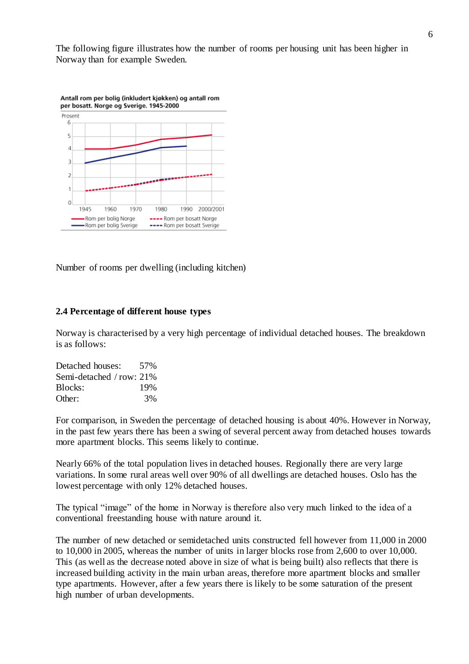The following figure illustrates how the number of rooms per housing unit has been higher in Norway than for example Sweden.



Number of rooms per dwelling (including kitchen)

#### **2.4 Percentage of different house types**

Norway is characterised by a very high percentage of individual detached houses. The breakdown is as follows:

Detached houses: 57% Semi-detached / row: 21% Blocks: 19% Other: 3%

For comparison, in Sweden the percentage of detached housing is about 40%. However in Norway, in the past few years there has been a swing of several percent away from detached houses towards more apartment blocks. This seems likely to continue.

Nearly 66% of the total population lives in detached houses. Regionally there are very large variations. In some rural areas well over 90% of all dwellings are detached houses. Oslo has the lowest percentage with only 12% detached houses.

The typical "image" of the home in Norway is therefore also very much linked to the idea of a conventional freestanding house with nature around it.

The number of new detached or semidetached units constructed fell however from 11,000 in 2000 to 10,000 in 2005, whereas the number of units in larger blocks rose from 2,600 to over 10,000. This (as well as the decrease noted above in size of what is being built) also reflects that there is increased building activity in the main urban areas, therefore more apartment blocks and smaller type apartments. However, after a few years there is likely to be some saturation of the present high number of urban developments.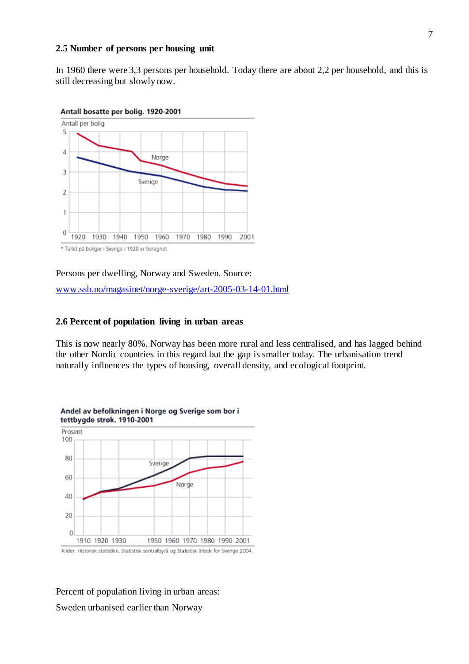#### **2.5 Number of persons per housing unit**

In 1960 there were 3,3 persons per household. Today there are about 2,2 per household, and this is still decreasing but slowly now.



Persons per dwelling, Norway and Sweden. Source: [www.ssb.no/magasinet/norge-sverige/art-2005-03-14-01.html](http://www.ssb.no/magasinet/norge-sverige/art-2005-03-14-01.html)

#### **2.6 Percent of population living in urban areas**

This is now nearly 80%. Norway has been more rural and less centralised, and has lagged behind the other Nordic countries in this regard but the gap is smaller today. The urbanisation trend naturally influences the types of housing, overall density, and ecological footprint.



Percent of population living in urban areas: Sweden urbanised earlier than Norway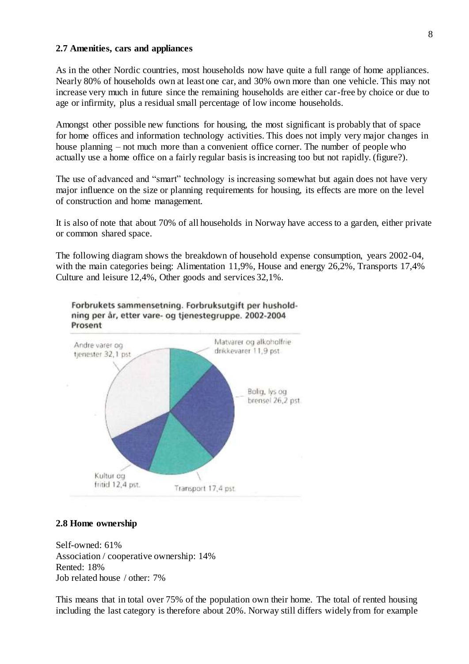#### **2.7 Amenities, cars and appliances**

As in the other Nordic countries, most households now have quite a full range of home appliances. Nearly 80% of households own at least one car, and 30% own more than one vehicle. This may not increase very much in future since the remaining households are either car-free by choice or due to age or infirmity, plus a residual small percentage of low income households.

Amongst other possible new functions for housing, the most significant is probably that of space for home offices and information technology activities. This does not imply very major changes in house planning – not much more than a convenient office corner. The number of people who actually use a home office on a fairly regular basis is increasing too but not rapidly. (figure?).

The use of advanced and "smart" technology is increasing somewhat but again does not have very major influence on the size or planning requirements for housing, its effects are more on the level of construction and home management.

It is also of note that about 70% of all households in Norway have access to a garden, either private or common shared space.

The following diagram shows the breakdown of household expense consumption, years 2002-04, with the main categories being: Alimentation 11,9%, House and energy 26,2%, Transports 17,4% Culture and leisure 12,4%, Other goods and services 32,1%.



Forbrukets sammensetning. Forbruksutgift per husholdning per år, etter vare- og tjenestegruppe. 2002-2004 Prosent

#### **2.8 Home ownership**

Self-owned: 61% Association / cooperative ownership: 14% Rented: 18% Job related house / other: 7%

This means that in total over 75% of the population own their home. The total of rented housing including the last category is therefore about 20%. Norway still differs widely from for example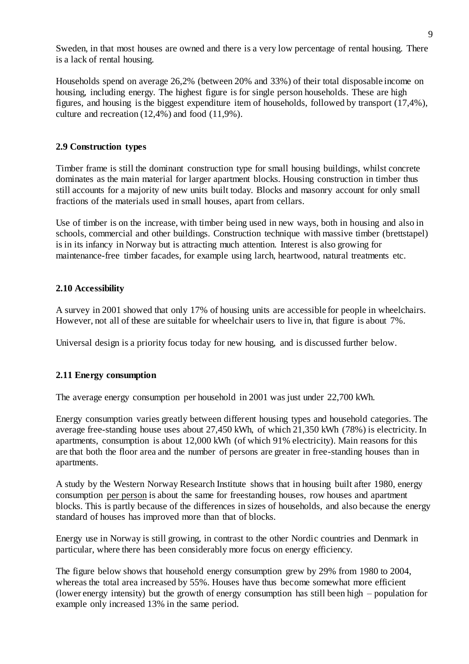Sweden, in that most houses are owned and there is a very low percentage of rental housing. There is a lack of rental housing.

Households spend on average 26,2% (between 20% and 33%) of their total disposable income on housing, including energy. The highest figure is for single person households. These are high figures, and housing is the biggest expenditure item of households, followed by transport (17,4%), culture and recreation (12,4%) and food (11,9%).

## **2.9 Construction types**

Timber frame is still the dominant construction type for small housing buildings, whilst concrete dominates as the main material for larger apartment blocks. Housing construction in timber thus still accounts for a majority of new units built today. Blocks and masonry account for only small fractions of the materials used in small houses, apart from cellars.

Use of timber is on the increase, with timber being used in new ways, both in housing and also in schools, commercial and other buildings. Construction technique with massive timber (brettstapel) is in its infancy in Norway but is attracting much attention. Interest is also growing for maintenance-free timber facades, for example using larch, heartwood, natural treatments etc.

### **2.10 Accessibility**

A survey in 2001 showed that only 17% of housing units are accessible for people in wheelchairs. However, not all of these are suitable for wheelchair users to live in, that figure is about 7%.

Universal design is a priority focus today for new housing, and is discussed further below.

# **2.11 Energy consumption**

The average energy consumption per household in 2001 was just under 22,700 kWh.

Energy consumption varies greatly between different housing types and household categories. The average free-standing house uses about 27,450 kWh, of which 21,350 kWh (78%) is electricity. In apartments, consumption is about 12,000 kWh (of which 91% electricity). Main reasons for this are that both the floor area and the number of persons are greater in free-standing houses than in apartments.

A study by the Western Norway Research Institute shows that in housing built after 1980, energy consumption per person is about the same for freestanding houses, row houses and apartment blocks. This is partly because of the differences in sizes of households, and also because the energy standard of houses has improved more than that of blocks.

Energy use in Norway is still growing, in contrast to the other Nordic countries and Denmark in particular, where there has been considerably more focus on energy efficiency.

The figure below shows that household energy consumption grew by 29% from 1980 to 2004, whereas the total area increased by 55%. Houses have thus become somewhat more efficient (lower energy intensity) but the growth of energy consumption has still been high – population for example only increased 13% in the same period.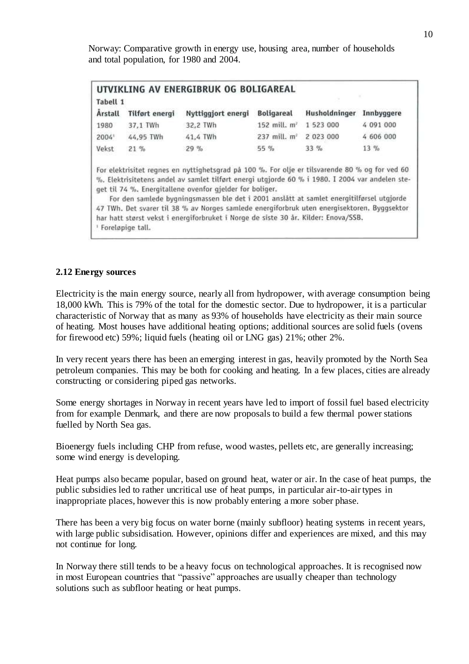Norway: Comparative growth in energy use, housing area, number of households and total population, for 1980 and 2004.

| Tabell 1<br><b>Arstall</b> | <b>Tilfort energi</b> | Nyttiggjort energi | <b>Boligareal</b>        | Husholdninger | Innbyggere |
|----------------------------|-----------------------|--------------------|--------------------------|---------------|------------|
| 1980                       | 37.1 TWh              | 32,2 TWh           | 152 mill. m <sup>2</sup> | 1 523 000     | 4 091 000  |
| 2004                       | 44,95 TWh             | 41,4 TWh           | 237 mill. m <sup>2</sup> | 2 023 000     | 4 606 000  |
| Vekst                      | 21%                   | 29%                | $55 \%$                  | $33\%$        | $13\%$     |

%. Elektrisitetens andel av samlet tilført energi utgjorde 60 % i 1980. I 2004 var andelen steget til 74 %. Energitallene ovenfor gjelder for boliger.

For den samlede bygningsmassen ble det i 2001 anslått at samlet energitilførsel utgjorde 47 TWh. Det svarer til 38 % av Norges samlede energiforbruk uten energisektoren. Byggsektor har hatt størst vekst i energiforbruket i Norge de siste 30 år. Kilder: Enova/SSB. <sup>1</sup> Foreløpige tall.

#### **2.12 Energy sources**

Electricity is the main energy source, nearly all from hydropower, with average consumption being 18,000 kWh. This is 79% of the total for the domestic sector. Due to hydropower, it is a particular characteristic of Norway that as many as 93% of households have electricity as their main source of heating. Most houses have additional heating options; additional sources are solid fuels (ovens for firewood etc) 59%; liquid fuels (heating oil or LNG gas) 21%; other 2%.

In very recent years there has been an emerging interest in gas, heavily promoted by the North Sea petroleum companies. This may be both for cooking and heating. In a few places, cities are already constructing or considering piped gas networks.

Some energy shortages in Norway in recent years have led to import of fossil fuel based electricity from for example Denmark, and there are now proposals to build a few thermal power stations fuelled by North Sea gas.

Bioenergy fuels including CHP from refuse, wood wastes, pellets etc, are generally increasing; some wind energy is developing.

Heat pumps also became popular, based on ground heat, water or air. In the case of heat pumps, the public subsidies led to rather uncritical use of heat pumps, in particular air-to-air types in inappropriate places, however this is now probably entering a more sober phase.

There has been a very big focus on water borne (mainly subfloor) heating systems in recent years, with large public subsidisation. However, opinions differ and experiences are mixed, and this may not continue for long.

In Norway there still tends to be a heavy focus on technological approaches. It is recognised now in most European countries that "passive" approaches are usually cheaper than technology solutions such as subfloor heating or heat pumps.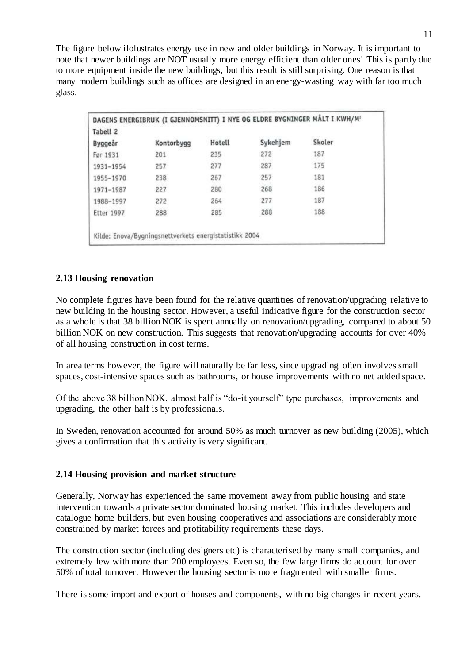The figure below ilolustrates energy use in new and older buildings in Norway. It is important to note that newer buildings are NOT usually more energy efficient than older ones! This is partly due to more equipment inside the new buildings, but this result is still surprising. One reason is that many modern buildings such as offices are designed in an energy-wasting way with far too much glass.

| Tabell <sub>2</sub> |            |        |          |        |
|---------------------|------------|--------|----------|--------|
| Byggeår             | Kontorbygg | Hotell | Sykehjem | Skoler |
| Før 1931            | 201        | 235    | 272      | 187    |
| 1931-1954           | 257        | 277    | 287      | 175    |
| 1955-1970           | 238        | 267    | 257      | 181    |
| 1971-1987           | 227        | 280    | 268      | 186    |
| 1988-1997           | 272        | 264    | 277      | 187    |
| <b>Etter 1997</b>   | 288        | 285    | 288      | 188    |

# **2.13 Housing renovation**

No complete figures have been found for the relative quantities of renovation/upgrading relative to new building in the housing sector. However, a useful indicative figure for the construction sector as a whole is that 38 billion NOK is spent annually on renovation/upgrading, compared to about 50 billion NOK on new construction. This suggests that renovation/upgrading accounts for over 40% of all housing construction in cost terms.

In area terms however, the figure will naturally be far less, since upgrading often involves small spaces, cost-intensive spaces such as bathrooms, or house improvements with no net added space.

Of the above 38 billion NOK, almost half is "do-it yourself" type purchases, improvements and upgrading, the other half is by professionals.

In Sweden, renovation accounted for around 50% as much turnover as new building (2005), which gives a confirmation that this activity is very significant.

### **2.14 Housing provision and market structure**

Generally, Norway has experienced the same movement away from public housing and state intervention towards a private sector dominated housing market. This includes developers and catalogue home builders, but even housing cooperatives and associations are considerably more constrained by market forces and profitability requirements these days.

The construction sector (including designers etc) is characterised by many small companies, and extremely few with more than 200 employees. Even so, the few large firms do account for over 50% of total turnover. However the housing sector is more fragmented with smaller firms.

There is some import and export of houses and components, with no big changes in recent years.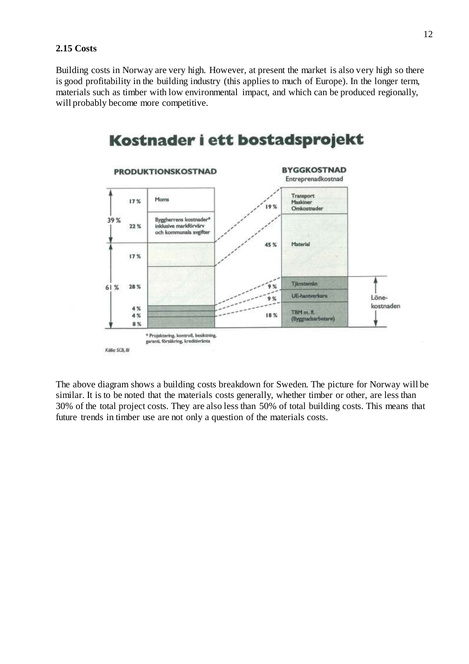#### **2.15 Costs**

Building costs in Norway are very high. However, at present the market is also very high so there is good profitability in the building industry (this applies to much of Europe). In the longer term, materials such as timber with low environmental impact, and which can be produced regionally, will probably become more competitive.



### The above diagram shows a building costs breakdown for Sweden. The picture for Norway will be similar. It is to be noted that the materials costs generally, whether timber or other, are less than 30% of the total project costs. They are also less than 50% of total building costs. This means that future trends in timber use are not only a question of the materials costs.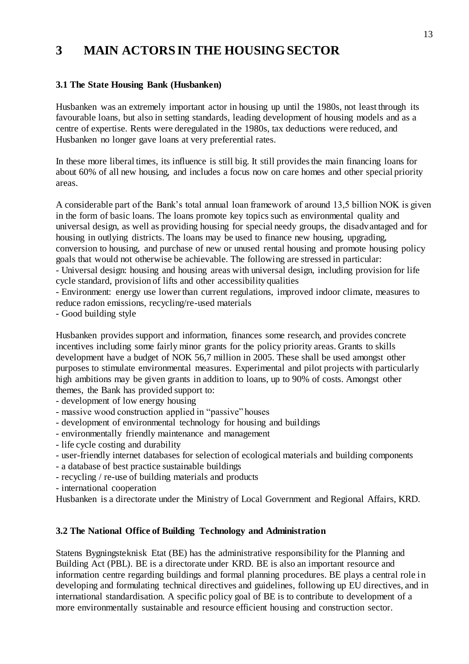# **3 MAIN ACTORS IN THE HOUSING SECTOR**

# **3.1 The State Housing Bank (Husbanken)**

Husbanken was an extremely important actor in housing up until the 1980s, not least through its favourable loans, but also in setting standards, leading development of housing models and as a centre of expertise. Rents were deregulated in the 1980s, tax deductions were reduced, and Husbanken no longer gave loans at very preferential rates.

In these more liberal times, its influence is still big. It still provides the main financing loans for about 60% of all new housing, and includes a focus now on care homes and other special priority areas.

A considerable part of the Bank's total annual loan framework of around 13,5 billion NOK is given in the form of basic loans. The loans promote key topics such as environmental quality and universal design, as well as providing housing for special needy groups, the disadvantaged and for housing in outlying districts. The loans may be used to finance new housing, upgrading, conversion to housing, and purchase of new or unused rental housing and promote housing policy goals that would not otherwise be achievable. The following are stressed in particular:

- Universal design: housing and housing areas with universal design, including provision for life cycle standard, provision of lifts and other accessibility qualities

- Environment: energy use lower than current regulations, improved indoor climate, measures to reduce radon emissions, recycling/re-used materials

- Good building style

Husbanken provides support and information, finances some research, and provides concrete incentives including some fairly minor grants for the policy priority areas. Grants to skills development have a budget of NOK 56,7 million in 2005. These shall be used amongst other purposes to stimulate environmental measures. Experimental and pilot projects with particularly high ambitions may be given grants in addition to loans, up to 90% of costs. Amongst other themes, the Bank has provided support to:

- development of low energy housing

- massive wood construction applied in "passive" houses
- development of environmental technology for housing and buildings
- environmentally friendly maintenance and management
- life cycle costing and durability
- user-friendly internet databases for selection of ecological materials and building components
- a database of best practice sustainable buildings
- recycling / re-use of building materials and products
- international cooperation

Husbanken is a directorate under the Ministry of Local Government and Regional Affairs, KRD.

### **3.2 The National Office of Building Technology and Administration**

Statens Bygningsteknisk Etat (BE) has the administrative responsibility for the Planning and Building Act (PBL). BE is a directorate under KRD. BE is also an important resource and information centre regarding buildings and formal planning procedures. BE plays a central role in developing and formulating technical directives and guidelines, following up EU directives, and in international standardisation. A specific policy goal of BE is to contribute to development of a more environmentally sustainable and resource efficient housing and construction sector.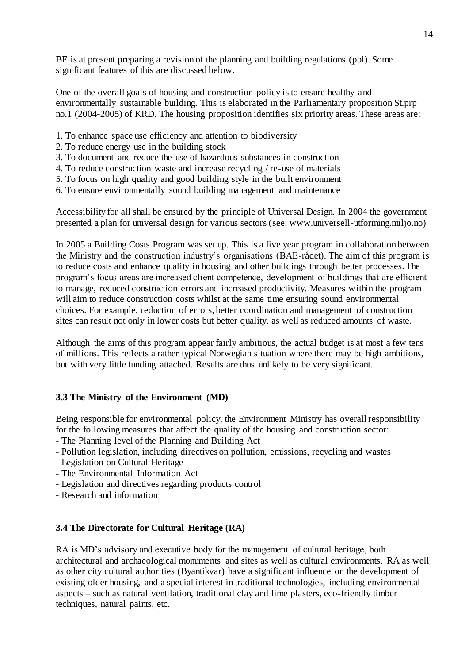BE is at present preparing a revision of the planning and building regulations (pbl). Some significant features of this are discussed below.

One of the overall goals of housing and construction policy is to ensure healthy and environmentally sustainable building. This is elaborated in the Parliamentary proposition St.prp no.1 (2004-2005) of KRD. The housing proposition identifies six priority areas. These areas are:

- 1. To enhance space use efficiency and attention to biodiversity
- 2. To reduce energy use in the building stock
- 3. To document and reduce the use of hazardous substances in construction
- 4. To reduce construction waste and increase recycling / re-use of materials
- 5. To focus on high quality and good building style in the built environment
- 6. To ensure environmentally sound building management and maintenance

Accessibility for all shall be ensured by the principle of Universal Design. In 2004 the government presented a plan for universal design for various sectors (see: www.universell-utforming.miljo.no)

In 2005 a Building Costs Program was set up. This is a five year program in collaboration between the Ministry and the construction industry's organisations (BAE-rådet). The aim of this program is to reduce costs and enhance quality in housing and other buildings through better processes. The program's focus areas are increased client competence, development of buildings that are efficient to manage, reduced construction errors and increased productivity. Measures within the program will aim to reduce construction costs whilst at the same time ensuring sound environmental choices. For example, reduction of errors, better coordination and management of construction sites can result not only in lower costs but better quality, as well as reduced amounts of waste.

Although the aims of this program appear fairly ambitious, the actual budget is at most a few tens of millions. This reflects a rather typical Norwegian situation where there may be high ambitions, but with very little funding attached. Results are thus unlikely to be very significant.

# **3.3 The Ministry of the Environment (MD)**

Being responsible for environmental policy, the Environment Ministry has overall responsibility for the following measures that affect the quality of the housing and construction sector:

- The Planning level of the Planning and Building Act
- Pollution legislation, including directives on pollution, emissions, recycling and wastes
- Legislation on Cultural Heritage
- The Environmental Information Act
- Legislation and directives regarding products control
- Research and information

### **3.4 The Directorate for Cultural Heritage (RA)**

RA is MD's advisory and executive body for the management of cultural heritage, both architectural and archaeological monuments and sites as well as cultural environments. RA as well as other city cultural authorities (Byantikvar) have a significant influence on the development of existing older housing, and a special interest in traditional technologies, including environmental aspects – such as natural ventilation, traditional clay and lime plasters, eco-friendly timber techniques, natural paints, etc.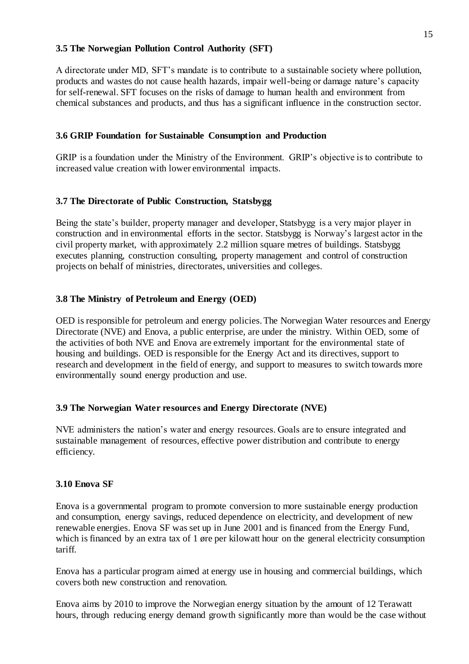## **3.5 The Norwegian Pollution Control Authority (SFT)**

A directorate under MD, SFT's mandate is to contribute to a sustainable society where pollution, products and wastes do not cause health hazards, impair well-being or damage nature's capacity for self-renewal. SFT focuses on the risks of damage to human health and environment from chemical substances and products, and thus has a significant influence in the construction sector.

### **3.6 GRIP Foundation for Sustainable Consumption and Production**

GRIP is a foundation under the Ministry of the Environment. GRIP's objective is to contribute to increased value creation with lower environmental impacts.

## **3.7 The Directorate of Public Construction, Statsbygg**

Being the state's builder, property manager and developer, Statsbygg is a very major player in construction and in environmental efforts in the sector. Statsbygg is Norway's largest actor in the civil property market, with approximately 2.2 million square metres of buildings. Statsbygg executes planning, construction consulting, property management and control of construction projects on behalf of ministries, directorates, universities and colleges.

## **3.8 The Ministry of Petroleum and Energy (OED)**

OED is responsible for petroleum and energy policies. The Norwegian Water resources and Energy Directorate (NVE) and Enova, a public enterprise, are under the ministry. Within OED, some of the activities of both NVE and Enova are extremely important for the environmental state of housing and buildings. OED is responsible for the Energy Act and its directives, support to research and development in the field of energy, and support to measures to switch towards more environmentally sound energy production and use.

### **3.9 The Norwegian Water resources and Energy Directorate (NVE)**

NVE administers the nation's water and energy resources. Goals are to ensure integrated and sustainable management of resources, effective power distribution and contribute to energy efficiency.

### **3.10 Enova SF**

Enova is a governmental program to promote conversion to more sustainable energy production and consumption, energy savings, reduced dependence on electricity, and development of new renewable energies. Enova SF was set up in June 2001 and is financed from the Energy Fund, which is financed by an extra tax of 1 øre per kilowatt hour on the general electricity consumption tariff.

Enova has a particular program aimed at energy use in housing and commercial buildings, which covers both new construction and renovation.

Enova aims by 2010 to improve the Norwegian energy situation by the amount of 12 Terawatt hours, through reducing energy demand growth significantly more than would be the case without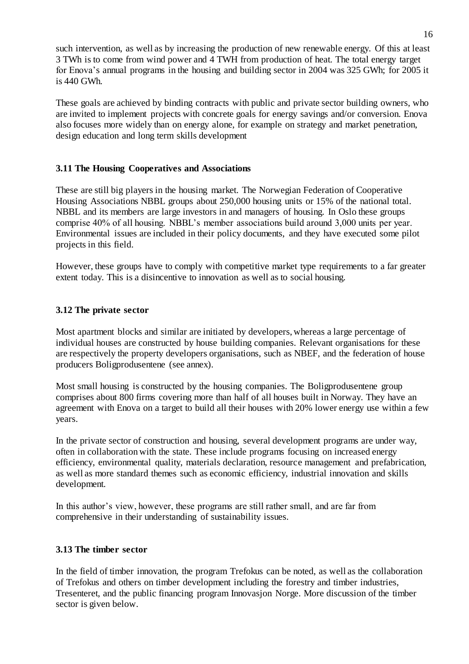such intervention, as well as by increasing the production of new renewable energy. Of this at least 3 TWh is to come from wind power and 4 TWH from production of heat. The total energy target for Enova's annual programs in the housing and building sector in 2004 was 325 GWh; for 2005 it is 440 GWh.

These goals are achieved by binding contracts with public and private sector building owners, who are invited to implement projects with concrete goals for energy savings and/or conversion. Enova also focuses more widely than on energy alone, for example on strategy and market penetration, design education and long term skills development

# **3.11 The Housing Cooperatives and Associations**

These are still big players in the housing market. The Norwegian Federation of Cooperative Housing Associations NBBL groups about 250,000 housing units or 15% of the national total. NBBL and its members are large investors in and managers of housing. In Oslo these groups comprise 40% of all housing. NBBL's member associations build around 3,000 units per year. Environmental issues are included in their policy documents, and they have executed some pilot projects in this field.

However, these groups have to comply with competitive market type requirements to a far greater extent today. This is a disincentive to innovation as well as to social housing.

## **3.12 The private sector**

Most apartment blocks and similar are initiated by developers, whereas a large percentage of individual houses are constructed by house building companies. Relevant organisations for these are respectively the property developers organisations, such as NBEF, and the federation of house producers Boligprodusentene (see annex).

Most small housing is constructed by the housing companies. The Boligprodusentene group comprises about 800 firms covering more than half of all houses built in Norway. They have an agreement with Enova on a target to build all their houses with 20% lower energy use within a few years.

In the private sector of construction and housing, several development programs are under way, often in collaboration with the state. These include programs focusing on increased energy efficiency, environmental quality, materials declaration, resource management and prefabrication, as well as more standard themes such as economic efficiency, industrial innovation and skills development.

In this author's view, however, these programs are still rather small, and are far from comprehensive in their understanding of sustainability issues.

### **3.13 The timber sector**

In the field of timber innovation, the program Trefokus can be noted, as well as the collaboration of Trefokus and others on timber development including the forestry and timber industries, Tresenteret, and the public financing program Innovasjon Norge. More discussion of the timber sector is given below.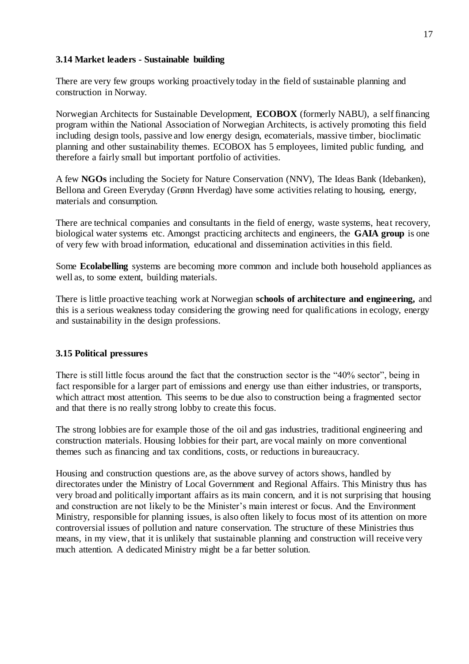### **3.14 Market leaders - Sustainable building**

There are very few groups working proactively today in the field of sustainable planning and construction in Norway.

Norwegian Architects for Sustainable Development, **ECOBOX** (formerly NABU), a self financing program within the National Association of Norwegian Architects, is actively promoting this field including design tools, passive and low energy design, ecomaterials, massive timber, bioclimatic planning and other sustainability themes. ECOBOX has 5 employees, limited public funding, and therefore a fairly small but important portfolio of activities.

A few **NGOs** including the Society for Nature Conservation (NNV), The Ideas Bank (Idebanken), Bellona and Green Everyday (Grønn Hverdag) have some activities relating to housing, energy, materials and consumption.

There are technical companies and consultants in the field of energy, waste systems, heat recovery, biological water systems etc. Amongst practicing architects and engineers, the **GAIA group** is one of very few with broad information, educational and dissemination activities in this field.

Some **Ecolabelling** systems are becoming more common and include both household appliances as well as, to some extent, building materials.

There is little proactive teaching work at Norwegian **schools of architecture and engineering,** and this is a serious weakness today considering the growing need for qualifications in ecology, energy and sustainability in the design professions.

### **3.15 Political pressures**

There is still little focus around the fact that the construction sector is the "40% sector", being in fact responsible for a larger part of emissions and energy use than either industries, or transports, which attract most attention. This seems to be due also to construction being a fragmented sector and that there is no really strong lobby to create this focus.

The strong lobbies are for example those of the oil and gas industries, traditional engineering and construction materials. Housing lobbies for their part, are vocal mainly on more conventional themes such as financing and tax conditions, costs, or reductions in bureaucracy.

Housing and construction questions are, as the above survey of actors shows, handled by directorates under the Ministry of Local Government and Regional Affairs. This Ministry thus has very broad and politically important affairs as its main concern, and it is not surprising that housing and construction are not likely to be the Minister's main interest or focus. And the Environment Ministry, responsible for planning issues, is also often likely to focus most of its attention on more controversial issues of pollution and nature conservation. The structure of these Ministries thus means, in my view, that it is unlikely that sustainable planning and construction will receive very much attention. A dedicated Ministry might be a far better solution.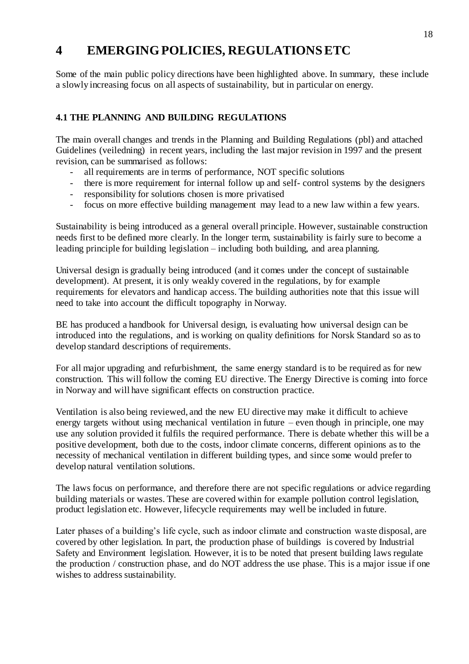# **4 EMERGING POLICIES, REGULATIONS ETC**

Some of the main public policy directions have been highlighted above. In summary, these include a slowly increasing focus on all aspects of sustainability, but in particular on energy.

# **4.1 THE PLANNING AND BUILDING REGULATIONS**

The main overall changes and trends in the Planning and Building Regulations (pbl) and attached Guidelines (veiledning) in recent years, including the last major revision in 1997 and the present revision, can be summarised as follows:

- all requirements are in terms of performance, NOT specific solutions
- there is more requirement for internal follow up and self- control systems by the designers
- responsibility for solutions chosen is more privatised
- focus on more effective building management may lead to a new law within a few years.

Sustainability is being introduced as a general overall principle. However, sustainable construction needs first to be defined more clearly. In the longer term, sustainability is fairly sure to become a leading principle for building legislation – including both building, and area planning.

Universal design is gradually being introduced (and it comes under the concept of sustainable development). At present, it is only weakly covered in the regulations, by for example requirements for elevators and handicap access. The building authorities note that this issue will need to take into account the difficult topography in Norway.

BE has produced a handbook for Universal design, is evaluating how universal design can be introduced into the regulations, and is working on quality definitions for Norsk Standard so as to develop standard descriptions of requirements.

For all major upgrading and refurbishment, the same energy standard is to be required as for new construction. This will follow the coming EU directive. The Energy Directive is coming into force in Norway and will have significant effects on construction practice.

Ventilation is also being reviewed, and the new EU directive may make it difficult to achieve energy targets without using mechanical ventilation in future – even though in principle, one may use any solution provided it fulfils the required performance. There is debate whether this will be a positive development, both due to the costs, indoor climate concerns, different opinions as to the necessity of mechanical ventilation in different building types, and since some would prefer to develop natural ventilation solutions.

The laws focus on performance, and therefore there are not specific regulations or advice regarding building materials or wastes. These are covered within for example pollution control legislation, product legislation etc. However, lifecycle requirements may well be included in future.

Later phases of a building's life cycle, such as indoor climate and construction waste disposal, are covered by other legislation. In part, the production phase of buildings is covered by Industrial Safety and Environment legislation. However, it is to be noted that present building laws regulate the production / construction phase, and do NOT address the use phase. This is a major issue if one wishes to address sustainability.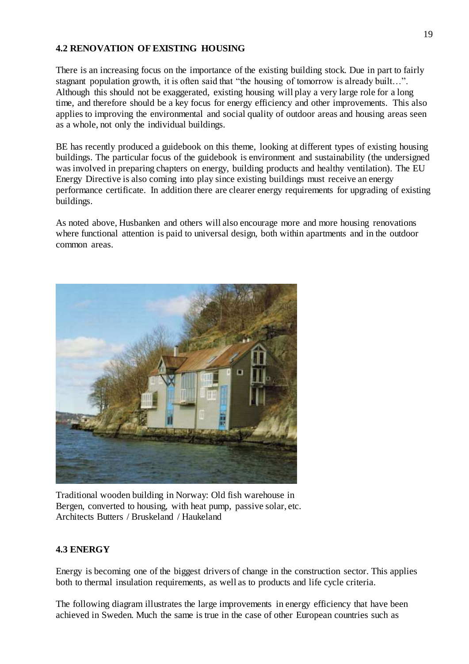### **4.2 RENOVATION OF EXISTING HOUSING**

There is an increasing focus on the importance of the existing building stock. Due in part to fairly stagnant population growth, it is often said that "the housing of tomorrow is already built…". Although this should not be exaggerated, existing housing will play a very large role for a long time, and therefore should be a key focus for energy efficiency and other improvements. This also applies to improving the environmental and social quality of outdoor areas and housing areas seen as a whole, not only the individual buildings.

BE has recently produced a guidebook on this theme, looking at different types of existing housing buildings. The particular focus of the guidebook is environment and sustainability (the undersigned was involved in preparing chapters on energy, building products and healthy ventilation). The EU Energy Directive is also coming into play since existing buildings must receive an energy performance certificate. In addition there are clearer energy requirements for upgrading of existing buildings.

As noted above, Husbanken and others will also encourage more and more housing renovations where functional attention is paid to universal design, both within apartments and in the outdoor common areas.



Traditional wooden building in Norway: Old fish warehouse in Bergen, converted to housing, with heat pump, passive solar, etc. Architects Butters / Bruskeland / Haukeland

### **4.3 ENERGY**

Energy is becoming one of the biggest drivers of change in the construction sector. This applies both to thermal insulation requirements, as well as to products and life cycle criteria.

The following diagram illustrates the large improvements in energy efficiency that have been achieved in Sweden. Much the same is true in the case of other European countries such as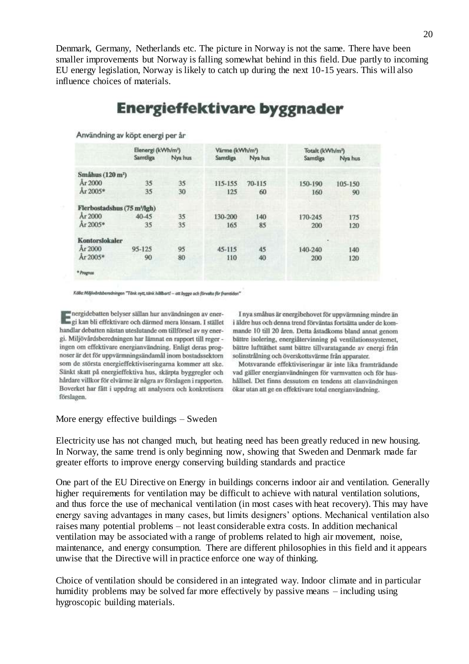Denmark, Germany, Netherlands etc. The picture in Norway is not the same. There have been smaller improvements but Norway is falling somewhat behind in this field. Due partly to incoming EU energy legislation, Norway is likely to catch up during the next 10-15 years. This will also influence choices of materials.

# **Energieffektivare byggnader**

|                                         |            | Elenergi (kWh/m <sup>2</sup> ) |            | Värme (kWh/m <sup>2</sup> ) | Totalt (kWh/m <sup>z</sup> ) |         |  |
|-----------------------------------------|------------|--------------------------------|------------|-----------------------------|------------------------------|---------|--|
|                                         | Samtliga   | Nya hus                        | Samtliga   | Nya hus                     | Samtliga                     | Nya hus |  |
| Småhus $(120 \text{ m}^2)$              |            |                                |            |                             |                              |         |  |
| År 2000                                 | 35         | 35                             | 115-155    | 70-115                      | 150-190                      | 105-150 |  |
| Ar 2005*                                | 35         | 30                             | 125        | 60                          | 160                          | 90      |  |
| Flerbostadshus (75 m <sup>3</sup> /lgh) |            |                                |            |                             |                              |         |  |
| Ar 2000                                 | $40 - 45$  | 35                             | 130-200    | 140                         | 170-245                      | 175     |  |
| Ar 2005*                                | 35         | 35                             | 165        | 85                          | 200                          | 120     |  |
| <b>Kontorslokaler</b>                   |            |                                |            |                             |                              |         |  |
| Ar 2000                                 | $95 - 125$ | 95                             | $45 - 115$ | 45                          | 140-240                      | 140     |  |
| Ar 2005*                                | 90         | 80                             | 110        | 40                          | 200                          | 120     |  |
| * Prognos                               |            |                                |            |                             |                              |         |  |

Användning av köpt energi per år

Kölke: Miljövåndsberedningen "Tänk nytt, tänk hållbart! - att bygga och förvalta för framtiden"

energidebatten belyser sällan hur användningen av ener-<br>Engi kan bli effektivare och därmed mera lönsam. I stället handlar debatten nästan uteslutande om tillförsel av ny energi. Miljövårdsberedningen har lämnat en rapport till reger ingen om effektivare energianvändning. Enligt deras prognoser är det för uppvärmningsändamål inom bostadssektorn som de största energieffektiviseringarna kommer att ske. Sänkt skatt på energieffektiva hus, skärpta byggregler och hårdare villkor för elvärme är några av förslagen i rapporten. Boverket har fått i uppdrag att analysera och konkretisera förslagen.

I nya småhus är energibehovet för uppvärmning mindre än i äldre hus och denna trend förväntas fortsätta under de kommande 10 till 20 åren. Detta åstadkoms bland annat genom bättre isolering, energiåtervinning på ventilationssystemet, bättre lufttäthet samt bättre tillvaratagande av energi från solinstrålning och överskottsvärme från apparater.

Motsvarande effektiviseringar är inte lika framträdande vad gäller energianvändningen för varmvatten och för hushållsel. Det finns dessutom en tendens att elanvändningen ökar utan att ge en effektivare total energianvändning.

#### More energy effective buildings – Sweden

Electricity use has not changed much, but heating need has been greatly reduced in new housing. In Norway, the same trend is only beginning now, showing that Sweden and Denmark made far greater efforts to improve energy conserving building standards and practice

One part of the EU Directive on Energy in buildings concerns indoor air and ventilation. Generally higher requirements for ventilation may be difficult to achieve with natural ventilation solutions, and thus force the use of mechanical ventilation (in most cases with heat recovery). This may have energy saving advantages in many cases, but limits designers' options. Mechanical ventilation also raises many potential problems – not least considerable extra costs. In addition mechanical ventilation may be associated with a range of problems related to high air movement, noise, maintenance, and energy consumption. There are different philosophies in this field and it appears unwise that the Directive will in practice enforce one way of thinking.

Choice of ventilation should be considered in an integrated way. Indoor climate and in particular humidity problems may be solved far more effectively by passive means – including using hygroscopic building materials.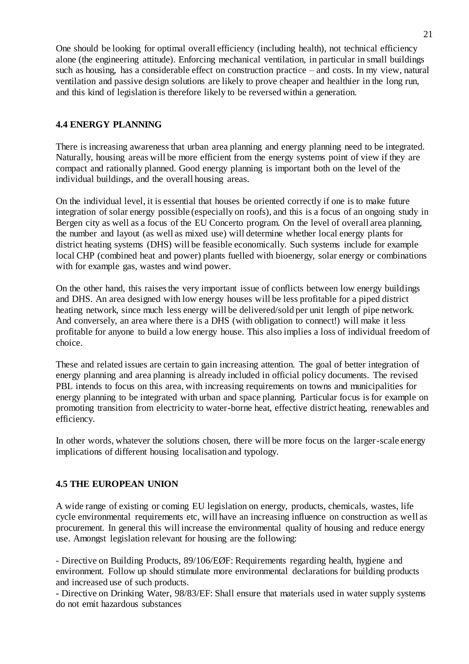One should be looking for optimal overall efficiency (including health), not technical efficiency alone (the engineering attitude). Enforcing mechanical ventilation, in particular in small buildings such as housing, has a considerable effect on construction practice – and costs. In my view, natural ventilation and passive design solutions are likely to prove cheaper and healthier in the long run, and this kind of legislation is therefore likely to be reversed within a generation.

# **4.4 ENERGY PLANNING**

There is increasing awareness that urban area planning and energy planning need to be integrated. Naturally, housing areas will be more efficient from the energy systems point of view if they are compact and rationally planned. Good energy planning is important both on the level of the individual buildings, and the overall housing areas.

On the individual level, it is essential that houses be oriented correctly if one is to make future integration of solar energy possible (especially on roofs), and this is a focus of an ongoing study in Bergen city as well as a focus of the EU Concerto program. On the level of overall area planning, the number and layout (as well as mixed use) will determine whether local energy plants for district heating systems (DHS) will be feasible economically. Such systems include for example local CHP (combined heat and power) plants fuelled with bioenergy, solar energy or combinations with for example gas, wastes and wind power.

On the other hand, this raises the very important issue of conflicts between low energy buildings and DHS. An area designed with low energy houses will be less profitable for a piped district heating network, since much less energy will be delivered/sold per unit length of pipe network. And conversely, an area where there is a DHS (with obligation to connect!) will make it less profitable for anyone to build a low energy house. This also implies a loss of individual freedom of choice.

These and related issues are certain to gain increasing attention. The goal of better integration of energy planning and area planning is already included in official policy documents. The revised PBL intends to focus on this area, with increasing requirements on towns and municipalities for energy planning to be integrated with urban and space planning. Particular focus is for example on promoting transition from electricity to water-borne heat, effective district heating, renewables and efficiency.

In other words, whatever the solutions chosen, there will be more focus on the larger-scale energy implications of different housing localisation and typology.

### **4.5 THE EUROPEAN UNION**

A wide range of existing or coming EU legislation on energy, products, chemicals, wastes, life cycle environmental requirements etc, will have an increasing influence on construction as well as procurement. In general this will increase the environmental quality of housing and reduce energy use. Amongst legislation relevant for housing are the following:

- Directive on Building Products, 89/106/EØF: Requirements regarding health, hygiene and environment. Follow up should stimulate more environmental declarations for building products and increased use of such products.

- Directive on Drinking Water, 98/83/EF: Shall ensure that materials used in water supply systems do not emit hazardous substances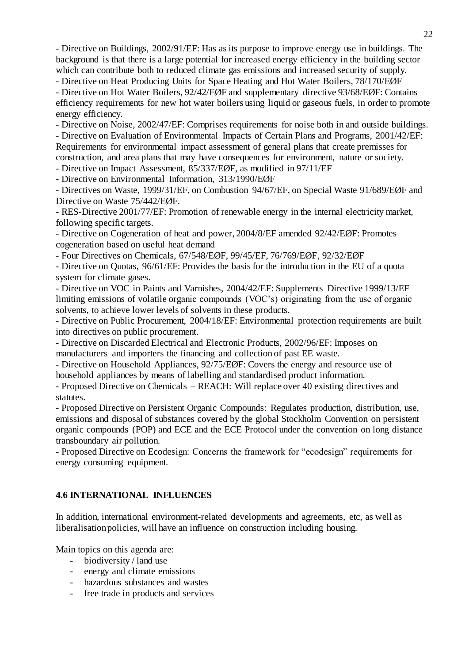- Directive on Buildings, 2002/91/EF: Has as its purpose to improve energy use in buildings. The background is that there is a large potential for increased energy efficiency in the building sector which can contribute both to reduced climate gas emissions and increased security of supply.

- Directive on Heat Producing Units for Space Heating and Hot Water Boilers, 78/170/EØF

- Directive on Hot Water Boilers, 92/42/EØF and supplementary directive 93/68/EØF: Contains efficiency requirements for new hot water boilers using liquid or gaseous fuels, in order to promote energy efficiency.

- Directive on Noise, 2002/47/EF: Comprises requirements for noise both in and outside buildings.

- Directive on Evaluation of Environmental Impacts of Certain Plans and Programs, 2001/42/EF: Requirements for environmental impact assessment of general plans that create premisses for construction, and area plans that may have consequences for environment, nature or society.

- Directive on Impact Assessment, 85/337/EØF, as modified in 97/11/EF

- Directive on Environmental Information, 313/1990/EØF

- Directives on Waste, 1999/31/EF, on Combustion 94/67/EF, on Special Waste 91/689/EØF and Directive on Waste 75/442/EØF.

- RES-Directive 2001/77/EF: Promotion of renewable energy in the internal electricity market, following specific targets.

- Directive on Cogeneration of heat and power, 2004/8/EF amended 92/42/EØF: Promotes cogeneration based on useful heat demand

- Four Directives on Chemicals, 67/548/EØF, 99/45/EF, 76/769/EØF, 92/32/EØF

- Directive on Quotas, 96/61/EF: Provides the basis for the introduction in the EU of a quota system for climate gases.

- Directive on VOC in Paints and Varnishes, 2004/42/EF: Supplements Directive 1999/13/EF limiting emissions of volatile organic compounds (VOC's) originating from the use of organic solvents, to achieve lower levels of solvents in these products.

- Directive on Public Procurement, 2004/18/EF: Environmental protection requirements are built into directives on public procurement.

- Directive on Discarded Electrical and Electronic Products, 2002/96/EF: Imposes on manufacturers and importers the financing and collection of past EE waste.

- Directive on Household Appliances, 92/75/EØF: Covers the energy and resource use of household appliances by means of labelling and standardised product information.

- Proposed Directive on Chemicals – REACH: Will replace over 40 existing directives and statutes.

- Proposed Directive on Persistent Organic Compounds: Regulates production, distribution, use, emissions and disposal of substances covered by the global Stockholm Convention on persistent organic compounds (POP) and ECE and the ECE Protocol under the convention on long distance transboundary air pollution.

- Proposed Directive on Ecodesign: Concerns the framework for "ecodesign" requirements for energy consuming equipment.

### **4.6 INTERNATIONAL INFLUENCES**

In addition, international environment-related developments and agreements, etc, as well as liberalisation policies, will have an influence on construction including housing.

Main topics on this agenda are:

- biodiversity / land use
- energy and climate emissions
- hazardous substances and wastes
- free trade in products and services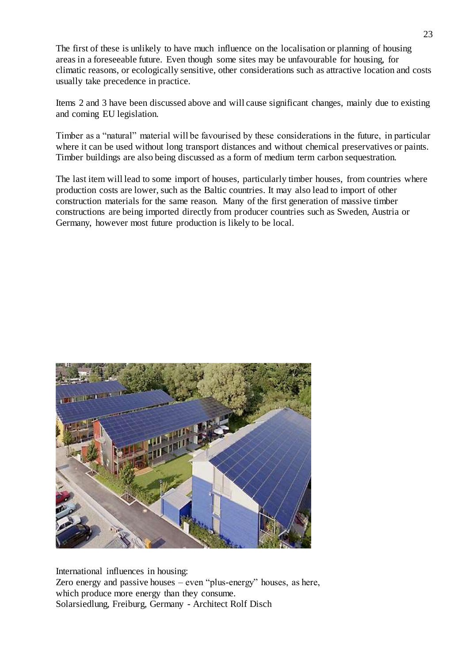The first of these is unlikely to have much influence on the localisation or planning of housing areas in a foreseeable future. Even though some sites may be unfavourable for housing, for climatic reasons, or ecologically sensitive, other considerations such as attractive location and costs usually take precedence in practice.

Items 2 and 3 have been discussed above and will cause significant changes, mainly due to existing and coming EU legislation.

Timber as a "natural" material will be favourised by these considerations in the future, in particular where it can be used without long transport distances and without chemical preservatives or paints. Timber buildings are also being discussed as a form of medium term carbon sequestration.

The last item will lead to some import of houses, particularly timber houses, from countries where production costs are lower, such as the Baltic countries. It may also lead to import of other construction materials for the same reason. Many of the first generation of massive timber constructions are being imported directly from producer countries such as Sweden, Austria or Germany, however most future production is likely to be local.



International influences in housing: Zero energy and passive houses – even "plus-energy" houses, as here, which produce more energy than they consume. Solarsiedlung, Freiburg, Germany - Architect Rolf Disch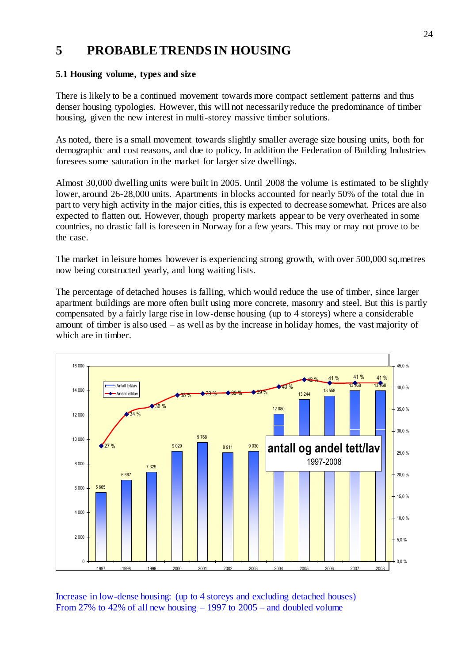# **5 PROBABLE TRENDS IN HOUSING**

# **5.1 Housing volume, types and size**

There is likely to be a continued movement towards more compact settlement patterns and thus denser housing typologies. However, this will not necessarily reduce the predominance of timber housing, given the new interest in multi-storey massive timber solutions.

As noted, there is a small movement towards slightly smaller average size housing units, both for demographic and cost reasons, and due to policy. In addition the Federation of Building Industries foresees some saturation in the market for larger size dwellings.

Almost 30,000 dwelling units were built in 2005. Until 2008 the volume is estimated to be slightly lower, around 26-28,000 units. Apartments in blocks accounted for nearly 50% of the total due in part to very high activity in the major cities, this is expected to decrease somewhat. Prices are also expected to flatten out. However, though property markets appear to be very overheated in some countries, no drastic fall is foreseen in Norway for a few years. This may or may not prove to be the case.

The market in leisure homes however is experiencing strong growth, with over 500,000 sq.metres now being constructed yearly, and long waiting lists.

The percentage of detached houses is falling, which would reduce the use of timber, since larger apartment buildings are more often built using more concrete, masonry and steel. But this is partly compensated by a fairly large rise in low-dense housing (up to 4 storeys) where a considerable amount of timber is also used – as well as by the increase in holiday homes, the vast majority of which are in timber.



Increase in low-dense housing: (up to 4 storeys and excluding detached houses) From 27% to 42% of all new housing – 1997 to 2005 – and doubled volume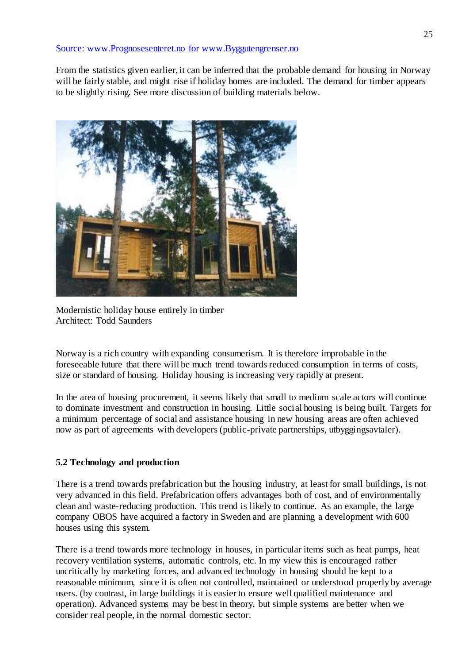### Source: www.Prognosesenteret.no for www.Byggutengrenser.no

From the statistics given earlier, it can be inferred that the probable demand for housing in Norway will be fairly stable, and might rise if holiday homes are included. The demand for timber appears to be slightly rising. See more discussion of building materials below.



Modernistic holiday house entirely in timber Architect: Todd Saunders

Norway is a rich country with expanding consumerism. It is therefore improbable in the foreseeable future that there will be much trend towards reduced consumption in terms of costs, size or standard of housing. Holiday housing is increasing very rapidly at present.

In the area of housing procurement, it seems likely that small to medium scale actors will continue to dominate investment and construction in housing. Little social housing is being built. Targets for a minimum percentage of social and assistance housing in new housing areas are often achieved now as part of agreements with developers (public-private partnerships, utbyggingsavtaler).

# **5.2 Technology and production**

There is a trend towards prefabrication but the housing industry, at least for small buildings, is not very advanced in this field. Prefabrication offers advantages both of cost, and of environmentally clean and waste-reducing production. This trend is likely to continue. As an example, the large company OBOS have acquired a factory in Sweden and are planning a development with 600 houses using this system.

There is a trend towards more technology in houses, in particular items such as heat pumps, heat recovery ventilation systems, automatic controls, etc. In my view this is encouraged rather uncritically by marketing forces, and advanced technology in housing should be kept to a reasonable minimum, since it is often not controlled, maintained or understood properly by average users. (by contrast, in large buildings it is easier to ensure well qualified maintenance and operation). Advanced systems may be best in theory, but simple systems are better when we consider real people, in the normal domestic sector.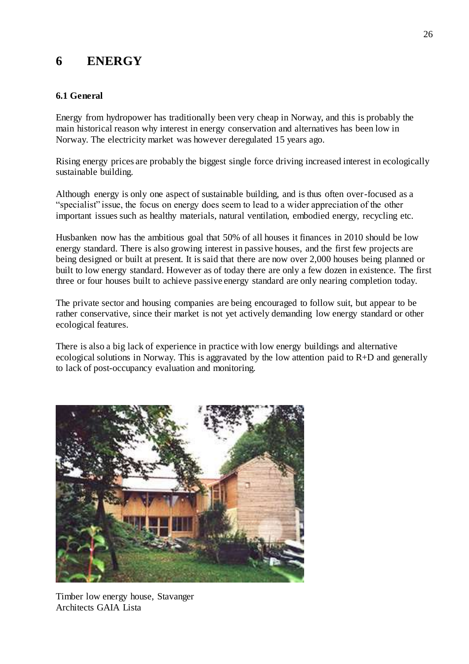# **6 ENERGY**

# **6.1 General**

Energy from hydropower has traditionally been very cheap in Norway, and this is probably the main historical reason why interest in energy conservation and alternatives has been low in Norway. The electricity market was however deregulated 15 years ago.

Rising energy prices are probably the biggest single force driving increased interest in ecologically sustainable building.

Although energy is only one aspect of sustainable building, and is thus often over-focused as a "specialist" issue, the focus on energy does seem to lead to a wider appreciation of the other important issues such as healthy materials, natural ventilation, embodied energy, recycling etc.

Husbanken now has the ambitious goal that 50% of all houses it finances in 2010 should be low energy standard. There is also growing interest in passive houses, and the first few projects are being designed or built at present. It is said that there are now over 2,000 houses being planned or built to low energy standard. However as of today there are only a few dozen in existence. The first three or four houses built to achieve passive energy standard are only nearing completion today.

The private sector and housing companies are being encouraged to follow suit, but appear to be rather conservative, since their market is not yet actively demanding low energy standard or other ecological features.

There is also a big lack of experience in practice with low energy buildings and alternative ecological solutions in Norway. This is aggravated by the low attention paid to  $R+D$  and generally to lack of post-occupancy evaluation and monitoring.



Timber low energy house, Stavanger Architects GAIA Lista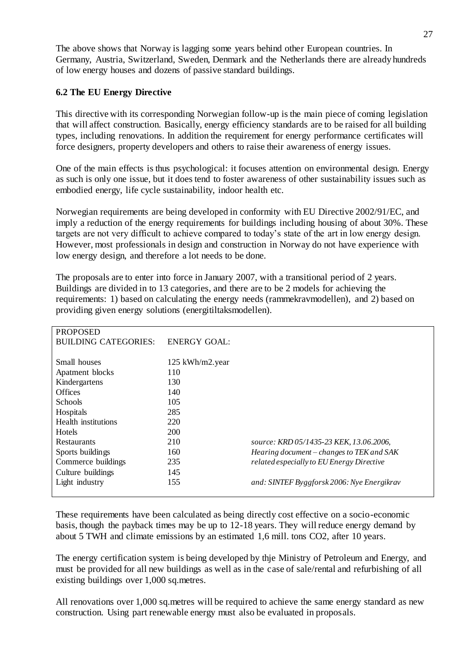The above shows that Norway is lagging some years behind other European countries. In Germany, Austria, Switzerland, Sweden, Denmark and the Netherlands there are already hundreds of low energy houses and dozens of passive standard buildings.

## **6.2 The EU Energy Directive**

This directive with its corresponding Norwegian follow-up is the main piece of coming legislation that will affect construction. Basically, energy efficiency standards are to be raised for all building types, including renovations. In addition the requirement for energy performance certificates will force designers, property developers and others to raise their awareness of energy issues.

One of the main effects is thus psychological: it focuses attention on environmental design. Energy as such is only one issue, but it does tend to foster awareness of other sustainability issues such as embodied energy, life cycle sustainability, indoor health etc.

Norwegian requirements are being developed in conformity with EU Directive 2002/91/EC, and imply a reduction of the energy requirements for buildings including housing of about 30%. These targets are not very difficult to achieve compared to today's state of the art in low energy design. However, most professionals in design and construction in Norway do not have experience with low energy design, and therefore a lot needs to be done.

The proposals are to enter into force in January 2007, with a transitional period of 2 years. Buildings are divided in to 13 categories, and there are to be 2 models for achieving the requirements: 1) based on calculating the energy needs (rammekravmodellen), and 2) based on providing given energy solutions (energitiltaksmodellen).

| <b>PROPOSED</b>             |                     |                                            |
|-----------------------------|---------------------|--------------------------------------------|
| <b>BUILDING CATEGORIES:</b> | <b>ENERGY GOAL:</b> |                                            |
|                             |                     |                                            |
| Small houses                | 125 kWh/m2.year     |                                            |
| Apatment blocks             | 110                 |                                            |
| Kindergartens               | 130                 |                                            |
| <b>Offices</b>              | 140                 |                                            |
| <b>Schools</b>              | 105                 |                                            |
| Hospitals                   | 285                 |                                            |
| Health institutions         | 220                 |                                            |
| <b>Hotels</b>               | 200                 |                                            |
| Restaurants                 | 210                 | source: KRD 05/1435-23 KEK, 13.06.2006,    |
| Sports buildings            | 160                 | Hearing document – changes to TEK and SAK  |
| Commerce buildings          | 235                 | related especially to EU Energy Directive  |
| Culture buildings           | 145                 |                                            |
| Light industry              | 155                 | and: SINTEF Byggforsk 2006: Nye Energikrav |
|                             |                     |                                            |

These requirements have been calculated as being directly cost effective on a socio-economic basis, though the payback times may be up to 12-18 years. They will reduce energy demand by about 5 TWH and climate emissions by an estimated 1,6 mill. tons CO2, after 10 years.

The energy certification system is being developed by thje Ministry of Petroleum and Energy, and must be provided for all new buildings as well as in the case of sale/rental and refurbishing of all existing buildings over 1,000 sq.metres.

All renovations over 1,000 sq.metres will be required to achieve the same energy standard as new construction. Using part renewable energy must also be evaluated in proposals.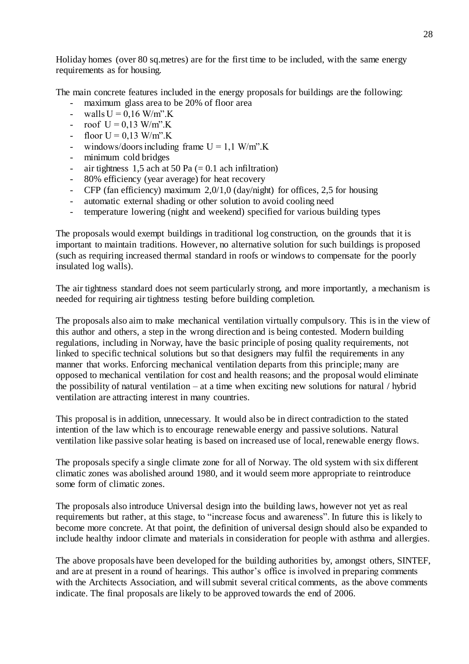Holiday homes (over 80 sq.metres) are for the first time to be included, with the same energy requirements as for housing.

The main concrete features included in the energy proposals for buildings are the following:

- maximum glass area to be 20% of floor area
- walls  $U = 0.16$  W/m".
- roof  $U = 0.13$  W/m".K
- floor  $U = 0.13$  W/m".K
- windows/doors including frame  $U = 1.1$  W/m".K
- minimum cold bridges
- air tightness 1,5 ach at 50 Pa  $(= 0.1$  ach infiltration)
- 80% efficiency (year average) for heat recovery
- CFP (fan efficiency) maximum 2,0/1,0 (day/night) for offices, 2,5 for housing
- automatic external shading or other solution to avoid cooling need
- temperature lowering (night and weekend) specified for various building types

The proposals would exempt buildings in traditional log construction, on the grounds that it is important to maintain traditions. However, no alternative solution for such buildings is proposed (such as requiring increased thermal standard in roofs or windows to compensate for the poorly insulated log walls).

The air tightness standard does not seem particularly strong, and more importantly, a mechanism is needed for requiring air tightness testing before building completion.

The proposals also aim to make mechanical ventilation virtually compulsory. This is in the view of this author and others, a step in the wrong direction and is being contested. Modern building regulations, including in Norway, have the basic principle of posing quality requirements, not linked to specific technical solutions but so that designers may fulfil the requirements in any manner that works. Enforcing mechanical ventilation departs from this principle; many are opposed to mechanical ventilation for cost and health reasons; and the proposal would eliminate the possibility of natural ventilation – at a time when exciting new solutions for natural / hybrid ventilation are attracting interest in many countries.

This proposal is in addition, unnecessary. It would also be in direct contradiction to the stated intention of the law which is to encourage renewable energy and passive solutions. Natural ventilation like passive solar heating is based on increased use of local, renewable energy flows.

The proposals specify a single climate zone for all of Norway. The old system with six different climatic zones was abolished around 1980, and it would seem more appropriate to reintroduce some form of climatic zones.

The proposals also introduce Universal design into the building laws, however not yet as real requirements but rather, at this stage, to "increase focus and awareness". In future this is likely to become more concrete. At that point, the definition of universal design should also be expanded to include healthy indoor climate and materials in consideration for people with asthma and allergies.

The above proposals have been developed for the building authorities by, amongst others, SINTEF, and are at present in a round of hearings. This author's office is involved in preparing comments with the Architects Association, and will submit several critical comments, as the above comments indicate. The final proposals are likely to be approved towards the end of 2006.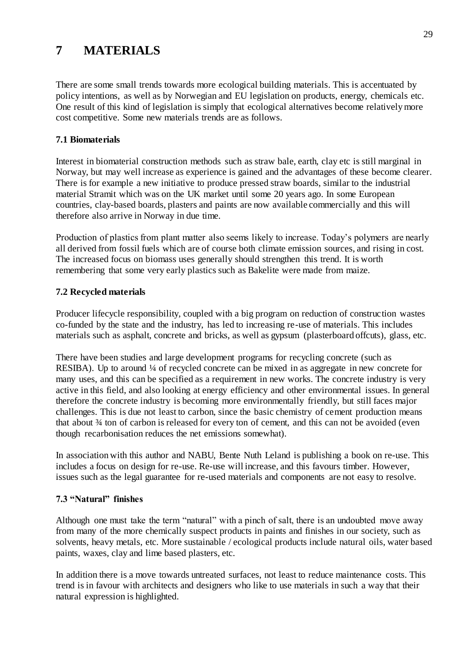# **7 MATERIALS**

There are some small trends towards more ecological building materials. This is accentuated by policy intentions, as well as by Norwegian and EU legislation on products, energy, chemicals etc. One result of this kind of legislation is simply that ecological alternatives become relatively more cost competitive. Some new materials trends are as follows.

# **7.1 Biomaterials**

Interest in biomaterial construction methods such as straw bale, earth, clay etc is still marginal in Norway, but may well increase as experience is gained and the advantages of these become clearer. There is for example a new initiative to produce pressed straw boards, similar to the industrial material Stramit which was on the UK market until some 20 years ago. In some European countries, clay-based boards, plasters and paints are now available commercially and this will therefore also arrive in Norway in due time.

Production of plastics from plant matter also seems likely to increase. Today's polymers are nearly all derived from fossil fuels which are of course both climate emission sources, and rising in cost. The increased focus on biomass uses generally should strengthen this trend. It is worth remembering that some very early plastics such as Bakelite were made from maize.

# **7.2 Recycled materials**

Producer lifecycle responsibility, coupled with a big program on reduction of construction wastes co-funded by the state and the industry, has led to increasing re-use of materials. This includes materials such as asphalt, concrete and bricks, as well as gypsum (plasterboard offcuts), glass, etc.

There have been studies and large development programs for recycling concrete (such as RESIBA). Up to around <sup>1/4</sup> of recycled concrete can be mixed in as aggregate in new concrete for many uses, and this can be specified as a requirement in new works. The concrete industry is very active in this field, and also looking at energy efficiency and other environmental issues. In general therefore the concrete industry is becoming more environmentally friendly, but still faces major challenges. This is due not least to carbon, since the basic chemistry of cement production means that about ¾ ton of carbon is released for every ton of cement, and this can not be avoided (even though recarbonisation reduces the net emissions somewhat).

In association with this author and NABU, Bente Nuth Leland is publishing a book on re-use. This includes a focus on design for re-use. Re-use will increase, and this favours timber. However, issues such as the legal guarantee for re-used materials and components are not easy to resolve.

# **7.3 "Natural" finishes**

Although one must take the term "natural" with a pinch of salt, there is an undoubted move away from many of the more chemically suspect products in paints and finishes in our society, such as solvents, heavy metals, etc. More sustainable / ecological products include natural oils, water based paints, waxes, clay and lime based plasters, etc.

In addition there is a move towards untreated surfaces, not least to reduce maintenance costs. This trend is in favour with architects and designers who like to use materials in such a way that their natural expression is highlighted.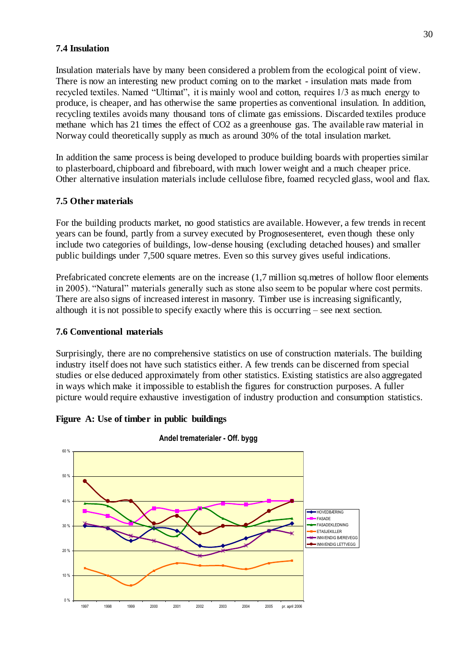# **7.4 Insulation**

Insulation materials have by many been considered a problem from the ecological point of view. There is now an interesting new product coming on to the market - insulation mats made from recycled textiles. Named "Ultimat", it is mainly wool and cotton, requires 1/3 as much energy to produce, is cheaper, and has otherwise the same properties as conventional insulation. In addition, recycling textiles avoids many thousand tons of climate gas emissions. Discarded textiles produce methane which has 21 times the effect of CO2 as a greenhouse gas. The available raw material in Norway could theoretically supply as much as around 30% of the total insulation market.

In addition the same process is being developed to produce building boards with properties similar to plasterboard, chipboard and fibreboard, with much lower weight and a much cheaper price. Other alternative insulation materials include cellulose fibre, foamed recycled glass, wool and flax.

## **7.5 Other materials**

For the building products market, no good statistics are available. However, a few trends in recent years can be found, partly from a survey executed by Prognosesenteret, even though these only include two categories of buildings, low-dense housing (excluding detached houses) and smaller public buildings under 7,500 square metres. Even so this survey gives useful indications.

Prefabricated concrete elements are on the increase (1,7 million sq.metres of hollow floor elements in 2005). "Natural" materials generally such as stone also seem to be popular where cost permits. There are also signs of increased interest in masonry. Timber use is increasing significantly, although it is not possible to specify exactly where this is occurring – see next section.

### **7.6 Conventional materials**

Surprisingly, there are no comprehensive statistics on use of construction materials. The building industry itself does not have such statistics either. A few trends can be discerned from special studies or else deduced approximately from other statistics. Existing statistics are also aggregated in ways which make it impossible to establish the figures for construction purposes. A fuller picture would require exhaustive investigation of industry production and consumption statistics.

### **Figure A: Use of timber in public buildings**



**Andel trematerialer - Off. bygg**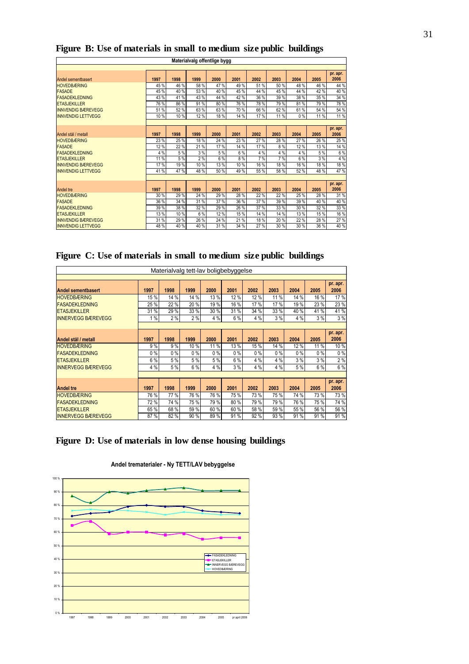| Materialvalg offentlige bygg |      |      |      |      |      |      |      |      |      |          |
|------------------------------|------|------|------|------|------|------|------|------|------|----------|
|                              |      |      |      |      |      |      |      |      |      |          |
|                              |      |      |      |      |      |      |      |      |      | pr. apr. |
| Andel sementbasert           | 1997 | 1998 | 1999 | 2000 | 2001 | 2002 | 2003 | 2004 | 2005 | 2006     |
| <b>HOVEDBÆRING</b>           | 45 % | 46 % | 58 % | 47%  | 49%  | 51%  | 50 % | 48%  | 46 % | 44 %     |
| <b>FASADE</b>                | 45 % | 40%  | 53 % | 40 % | 45%  | 44 % | 45 % | 44 % | 42%  | 40 %     |
| <b>FASADEKLEDNING</b>        | 43 % | 41%  | 43 % | 44 % | 42 % | 36 % | 39 % | 38 % | 35%  | 34 %     |
| <b>ETASJEKILLER</b>          | 76 % | 86 % | 91%  | 80%  | 76 % | 78%  | 79%  | 81%  | 79%  | 78%      |
| <b>INNVENDIG BÆREVEGG</b>    | 51%  | 52%  | 63%  | 63%  | 70 % | 66 % | 62%  | 61%  | 54 % | 54 %     |
| <b>INNVENDIG LETTVEGG</b>    | 10 % | 10%  | 12%  | 18%  | 14 % | 17%  | 11 % | 0%   | 11 % | 11%      |
|                              |      |      |      |      |      |      |      |      |      |          |
|                              |      |      |      |      |      |      |      |      |      | pr. apr. |
| Andel stål / metall          | 1997 | 1998 | 1999 | 2000 | 2001 | 2002 | 2003 | 2004 | 2005 | 2006     |
| <b>HOVEDBÆRING</b>           | 23 % | 25 % | 18%  | 24 % | 23 % | 27 % | 28 % | 27 % | 26 % | 25 %     |
| <b>FASADE</b>                | 12 % | 22 % | 21 % | 17%  | 14 % | 17%  | 8%   | 12%  | 13%  | 14 %     |
| <b>FASADEKLEDNING</b>        | 4 %  | 5%   | 3%   | 5%   | 6%   | 4 %  | 4 %  | 4 %  | 5%   | 6%       |
| <b>ETASJEKILLER</b>          | 11 % | 5 %  | 2%   | 6 %  | 8%   | 7%   | 7%   | 6 %  | 3%   | 4 %      |
| <b>INNVENDIG BÆREVEGG</b>    | 17%  | 19%  | 10%  | 13 % | 10%  | 16 % | 18%  | 16 % | 18%  | 18%      |
| <b>INNVENDIG LETTVEGG</b>    | 41%  | 47%  | 48%  | 50%  | 49%  | 55 % | 58 % | 52 % | 48%  | 47 %     |
|                              |      |      |      |      |      |      |      |      |      |          |
|                              |      |      |      |      |      |      |      |      |      | pr. apr. |
| <b>Andel tre</b>             | 1997 | 1998 | 1999 | 2000 | 2001 | 2002 | 2003 | 2004 | 2005 | 2006     |
| <b>HOVEDBÆRING</b>           | 30 % | 29%  | 24 % | 29 % | 28 % | 22 % | 22 % | 25 % | 28 % | 31 %     |
| <b>FASADE</b>                | 36 % | 34 % | 31%  | 37 % | 36 % | 37 % | 39 % | 39 % | 40%  | 40 %     |
| <b>FASADEKLEDNING</b>        | 39 % | 38 % | 32 % | 29 % | 26 % | 37 % | 33 % | 30 % | 32 % | 33 %     |
| <b>ETASJEKILLER</b>          | 13 % | 10 % | 6 %  | 12%  | 15 % | 14 % | 14 % | 13 % | 15%  | 16 %     |
| <b>INNVENDIG BÆREVEGG</b>    | 31 % | 29 % | 26 % | 24 % | 21%  | 18%  | 20 % | 22 % | 28%  | 27 %     |
| <b>INNVENDIG LETTVEGG</b>    | 48 % | 40%  | 40%  | 31 % | 34 % | 27 % | 30 % | 30 % | 36 % | 40 %     |

# **Figure B: Use of materials in small to medium size public buildings**

|  |  |  |  |  |  |  | Figure C: Use of materials in small to medium size public buildings |  |  |  |
|--|--|--|--|--|--|--|---------------------------------------------------------------------|--|--|--|
|--|--|--|--|--|--|--|---------------------------------------------------------------------|--|--|--|

| Materialvalg tett-lav boligbebyggelse |       |       |       |      |      |       |       |      |       |          |
|---------------------------------------|-------|-------|-------|------|------|-------|-------|------|-------|----------|
|                                       |       |       |       |      |      |       |       |      |       |          |
|                                       |       |       |       |      |      |       |       |      |       | pr. apr. |
| <b>Andel sementbasert</b>             | 1997  | 1998  | 1999  | 2000 | 2001 | 2002  | 2003  | 2004 | 2005  | 2006     |
| <b>HOVEDBÆRING</b>                    | 15 %  | 14 %  | 14 %  | 13%  | 12%  | 12 %  | 11 %  | 14 % | 16 %  | 17%      |
| <b>FASADEKLEDNING</b>                 | 25 %  | 22 %  | 20%   | 19%  | 16 % | 17 %  | 17 %  | 19 % | 23 %  | 23 %     |
| <b>ETASJEKILLER</b>                   | 31 %  | 29 %  | 33 %  | 30 % | 31 % | 34 %  | 33 %  | 40 % | 41%   | 41%      |
| <b>INNERVEGG BÆREVEGG</b>             | 1%    | 2%    | 2%    | 4 %  | 6%   | 4 %   | 3%    | 4 %  | 3%    | 3%       |
|                                       |       |       |       |      |      |       |       |      |       |          |
|                                       |       |       |       |      |      |       |       |      |       | pr. apr. |
| Andel stål / metall                   | 1997  | 1998  | 1999  | 2000 | 2001 | 2002  | 2003  | 2004 | 2005  | 2006     |
| <b>HOVEDBÆRING</b>                    | 9%    | 9%    | 10%   | 11%  | 13%  | 15 %  | 14 %  | 12%  | 11 %  | 10%      |
| <b>FASADEKLEDNING</b>                 | $0\%$ | $0\%$ | $0\%$ | 0%   | 0%   | $0\%$ | $0\%$ | 0%   | $0\%$ | 0%       |
| <b>ETASJEKILLER</b>                   | 6 %   | 5 %   | 5 %   | 5%   | 6 %  | 4 %   | 4 %   | 3%   | 3%    | 2%       |
| <b>INNERVEGG BÆREVEGG</b>             | 4 %   | 5 %   | 6 %   | 4 %  | 3%   | 4 %   | 4 %   | 5 %  | 6%    | 6 %      |
|                                       |       |       |       |      |      |       |       |      |       |          |
|                                       |       |       |       |      |      |       |       |      |       | pr. apr. |
| <b>Andel tre</b>                      | 1997  | 1998  | 1999  | 2000 | 2001 | 2002  | 2003  | 2004 | 2005  | 2006     |
| <b>HOVEDBÆRING</b>                    | 76 %  | 77 %  | 76 %  | 76 % | 75%  | 73%   | 75 %  | 74 % | 73%   | 73%      |
| <b>FASADEKLEDNING</b>                 | 72 %  | 74 %  | 75%   | 79%  | 80%  | 79 %  | 79 %  | 76 % | 75 %  | 74 %     |
| <b>ETASJEKILLER</b>                   | 65 %  | 68 %  | 59%   | 60%  | 60 % | 58 %  | 59 %  | 55 % | 56 %  | 56 %     |
| <b>INNERVEGG BÆREVEGG</b>             | 87%   | 82 %  | 90%   | 89%  | 91%  | 92%   | 93 %  | 91 % | 91%   | 91%      |

# **Figure D: Use of materials in low dense housing buildings**



#### **Andel trematerialer - Ny TETT/LAV bebyggelse**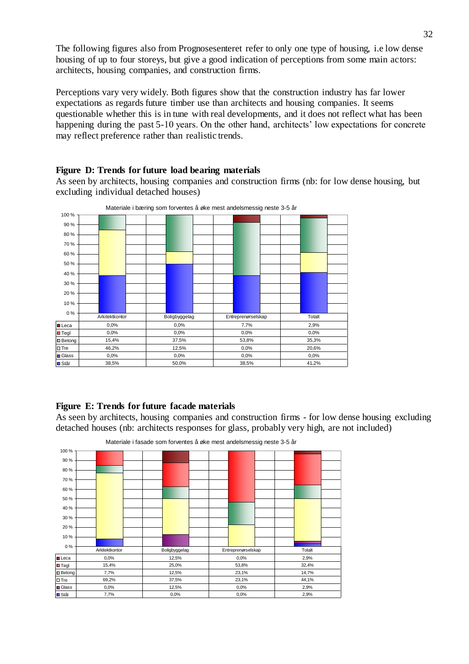The following figures also from Prognosesenteret refer to only one type of housing, i.e low dense housing of up to four storeys, but give a good indication of perceptions from some main actors: architects, housing companies, and construction firms.

Perceptions vary very widely. Both figures show that the construction industry has far lower expectations as regards future timber use than architects and housing companies. It seems questionable whether this is in tune with real developments, and it does not reflect what has been happening during the past 5-10 years. On the other hand, architects' low expectations for concrete may reflect preference rather than realistic trends.



**Figure D: Trends for future load bearing materials**

As seen by architects, housing companies and construction firms (nb: for low dense housing, but excluding individual detached houses)

### **Figure E: Trends for future facade materials**

As seen by architects, housing companies and construction firms - for low dense housing excluding detached houses (nb: architects responses for glass, probably very high, are not included)



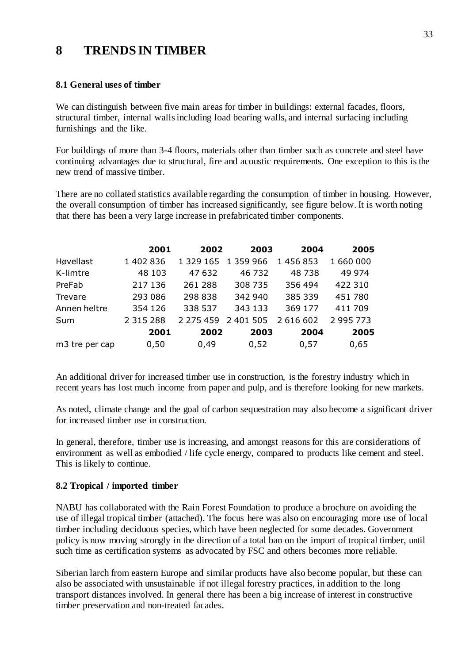# **8 TRENDS IN TIMBER**

### **8.1 General uses of timber**

We can distinguish between five main areas for timber in buildings: external facades, floors, structural timber, internal walls including load bearing walls, and internal surfacing including furnishings and the like.

For buildings of more than 3-4 floors, materials other than timber such as concrete and steel have continuing advantages due to structural, fire and acoustic requirements. One exception to this is the new trend of massive timber.

There are no collated statistics available regarding the consumption of timber in housing. However, the overall consumption of timber has increased significantly, see figure below. It is worth noting that there has been a very large increase in prefabricated timber components.

|                            | 2001          | 2002      | 2003      | 2004      | 2005      |
|----------------------------|---------------|-----------|-----------|-----------|-----------|
| Høvellast                  | 1 402 836     | 1 329 165 | 1 359 966 | 1 456 853 | 1 660 000 |
| K-limtre                   | 48 103        | 47 632    | 46 732    | 48738     | 49 974    |
| PreFab                     | 217 136       | 261 288   | 308 735   | 356 494   | 422 310   |
| Trevare                    | 293 086       | 298 838   | 342 940   | 385 339   | 451 780   |
| Annen heltre               | 354 126       | 338 537   | 343 133   | 369 177   | 411 709   |
| Sum                        | 2 3 1 5 2 8 8 | 2 275 459 | 2 401 505 | 2 616 602 | 2 995 773 |
|                            | 2001          | 2002      | 2003      | 2004      | 2005      |
| m <sub>3</sub> tre per cap | 0,50          | 0,49      | 0,52      | 0,57      | 0,65      |

An additional driver for increased timber use in construction, is the forestry industry which in recent years has lost much income from paper and pulp, and is therefore looking for new markets.

As noted, climate change and the goal of carbon sequestration may also become a significant driver for increased timber use in construction.

In general, therefore, timber use is increasing, and amongst reasons for this are considerations of environment as well as embodied / life cycle energy, compared to products like cement and steel. This is likely to continue.

# **8.2 Tropical / imported timber**

NABU has collaborated with the Rain Forest Foundation to produce a brochure on avoiding the use of illegal tropical timber (attached). The focus here was also on encouraging more use of local timber including deciduous species, which have been neglected for some decades. Government policy is now moving strongly in the direction of a total ban on the import of tropical timber, until such time as certification systems as advocated by FSC and others becomes more reliable.

Siberian larch from eastern Europe and similar products have also become popular, but these can also be associated with unsustainable if not illegal forestry practices, in addition to the long transport distances involved. In general there has been a big increase of interest in constructive timber preservation and non-treated facades.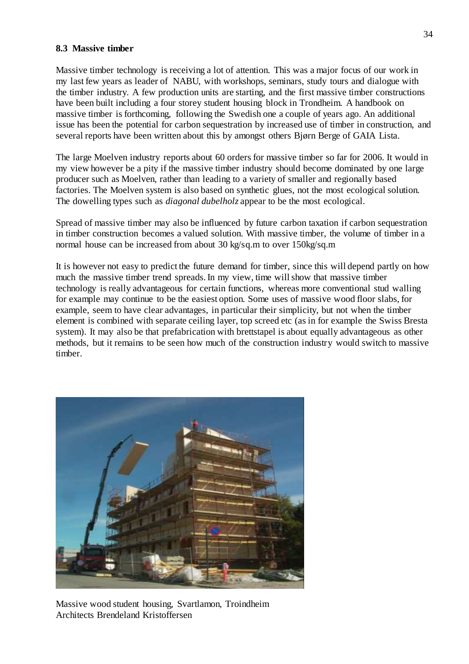### **8.3 Massive timber**

Massive timber technology is receiving a lot of attention. This was a major focus of our work in my last few years as leader of NABU, with workshops, seminars, study tours and dialogue with the timber industry. A few production units are starting, and the first massive timber constructions have been built including a four storey student housing block in Trondheim. A handbook on massive timber is forthcoming, following the Swedish one a couple of years ago. An additional issue has been the potential for carbon sequestration by increased use of timber in construction, and several reports have been written about this by amongst others Bjørn Berge of GAIA Lista.

The large Moelven industry reports about 60 orders for massive timber so far for 2006. It would in my view however be a pity if the massive timber industry should become dominated by one large producer such as Moelven, rather than leading to a variety of smaller and regionally based factories. The Moelven system is also based on synthetic glues, not the most ecological solution. The dowelling types such as *diagonal dubelholz* appear to be the most ecological.

Spread of massive timber may also be influenced by future carbon taxation if carbon sequestration in timber construction becomes a valued solution. With massive timber, the volume of timber in a normal house can be increased from about 30 kg/sq.m to over 150kg/sq.m

It is however not easy to predict the future demand for timber, since this will depend partly on how much the massive timber trend spreads. In my view, time will show that massive timber technology is really advantageous for certain functions, whereas more conventional stud walling for example may continue to be the easiest option. Some uses of massive wood floor slabs, for example, seem to have clear advantages, in particular their simplicity, but not when the timber element is combined with separate ceiling layer, top screed etc (as in for example the Swiss Bresta system). It may also be that prefabrication with brettstapel is about equally advantageous as other methods, but it remains to be seen how much of the construction industry would switch to massive timber.



Massive wood student housing, Svartlamon, Troindheim Architects Brendeland Kristoffersen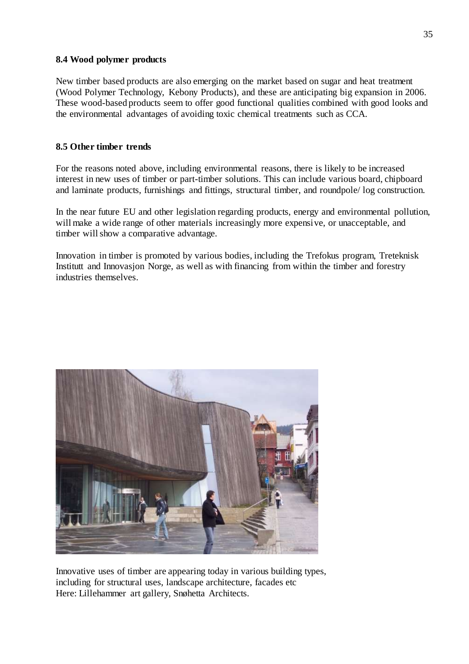### **8.4 Wood polymer products**

New timber based products are also emerging on the market based on sugar and heat treatment (Wood Polymer Technology, Kebony Products), and these are anticipating big expansion in 2006. These wood-based products seem to offer good functional qualities combined with good looks and the environmental advantages of avoiding toxic chemical treatments such as CCA.

# **8.5 Other timber trends**

For the reasons noted above, including environmental reasons, there is likely to be increased interest in new uses of timber or part-timber solutions. This can include various board, chipboard and laminate products, furnishings and fittings, structural timber, and roundpole/ log construction.

In the near future EU and other legislation regarding products, energy and environmental pollution, will make a wide range of other materials increasingly more expensive, or unacceptable, and timber will show a comparative advantage.

Innovation in timber is promoted by various bodies, including the Trefokus program, Treteknisk Institutt and Innovasjon Norge, as well as with financing from within the timber and forestry industries themselves.



Innovative uses of timber are appearing today in various building types, including for structural uses, landscape architecture, facades etc Here: Lillehammer art gallery, Snøhetta Architects.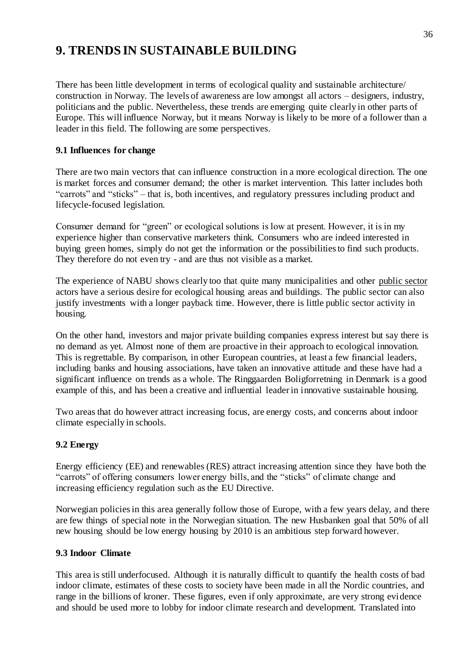# **9. TRENDS IN SUSTAINABLE BUILDING**

There has been little development in terms of ecological quality and sustainable architecture/ construction in Norway. The levels of awareness are low amongst all actors – designers, industry, politicians and the public. Nevertheless, these trends are emerging quite clearly in other parts of Europe. This will influence Norway, but it means Norway is likely to be more of a follower than a leader in this field. The following are some perspectives.

# **9.1 Influences for change**

There are two main vectors that can influence construction in a more ecological direction. The one is market forces and consumer demand; the other is market intervention. This latter includes both "carrots" and "sticks" – that is, both incentives, and regulatory pressures including product and lifecycle-focused legislation.

Consumer demand for "green" or ecological solutions is low at present. However, it is in my experience higher than conservative marketers think. Consumers who are indeed interested in buying green homes, simply do not get the information or the possibilities to find such products. They therefore do not even try - and are thus not visible as a market.

The experience of NABU shows clearly too that quite many municipalities and other public sector actors have a serious desire for ecological housing areas and buildings. The public sector can also justify investments with a longer payback time. However, there is little public sector activity in housing.

On the other hand, investors and major private building companies express interest but say there is no demand as yet. Almost none of them are proactive in their approach to ecological innovation. This is regrettable. By comparison, in other European countries, at least a few financial leaders, including banks and housing associations, have taken an innovative attitude and these have had a significant influence on trends as a whole. The Ringgaarden Boligforretning in Denmark is a good example of this, and has been a creative and influential leader in innovative sustainable housing.

Two areas that do however attract increasing focus, are energy costs, and concerns about indoor climate especially in schools.

# **9.2 Energy**

Energy efficiency (EE) and renewables (RES) attract increasing attention since they have both the "carrots" of offering consumers lower energy bills, and the "sticks" of climate change and increasing efficiency regulation such as the EU Directive.

Norwegian policies in this area generally follow those of Europe, with a few years delay, and there are few things of special note in the Norwegian situation. The new Husbanken goal that 50% of all new housing should be low energy housing by 2010 is an ambitious step forward however.

# **9.3 Indoor Climate**

This area is still underfocused. Although it is naturally difficult to quantify the health costs of bad indoor climate, estimates of these costs to society have been made in all the Nordic countries, and range in the billions of kroner. These figures, even if only approximate, are very strong evidence and should be used more to lobby for indoor climate research and development. Translated into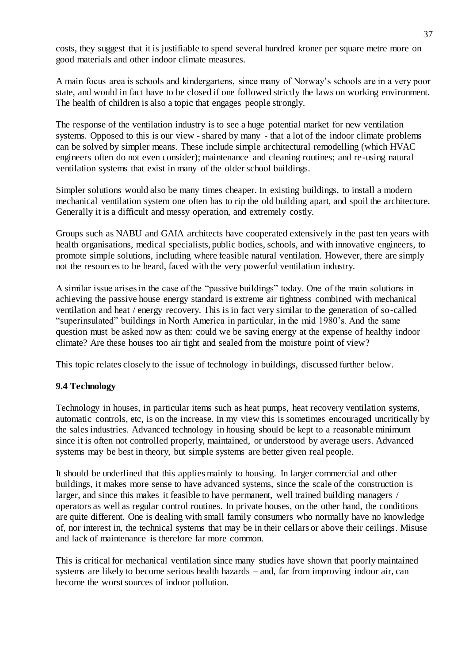costs, they suggest that it is justifiable to spend several hundred kroner per square metre more on good materials and other indoor climate measures.

A main focus area is schools and kindergartens, since many of Norway's schools are in a very poor state, and would in fact have to be closed if one followed strictly the laws on working environment. The health of children is also a topic that engages people strongly.

The response of the ventilation industry is to see a huge potential market for new ventilation systems. Opposed to this is our view - shared by many - that a lot of the indoor climate problems can be solved by simpler means. These include simple architectural remodelling (which HVAC engineers often do not even consider); maintenance and cleaning routines; and re-using natural ventilation systems that exist in many of the older school buildings.

Simpler solutions would also be many times cheaper. In existing buildings, to install a modern mechanical ventilation system one often has to rip the old building apart, and spoil the architecture. Generally it is a difficult and messy operation, and extremely costly.

Groups such as NABU and GAIA architects have cooperated extensively in the past ten years with health organisations, medical specialists, public bodies, schools, and with innovative engineers, to promote simple solutions, including where feasible natural ventilation. However, there are simply not the resources to be heard, faced with the very powerful ventilation industry.

A similar issue arises in the case of the "passive buildings" today. One of the main solutions in achieving the passive house energy standard is extreme air tightness combined with mechanical ventilation and heat / energy recovery. This is in fact very similar to the generation of so-called "superinsulated" buildings in North America in particular, in the mid 1980's. And the same question must be asked now as then: could we be saving energy at the expense of healthy indoor climate? Are these houses too air tight and sealed from the moisture point of view?

This topic relates closely to the issue of technology in buildings, discussed further below.

# **9.4 Technology**

Technology in houses, in particular items such as heat pumps, heat recovery ventilation systems, automatic controls, etc, is on the increase. In my view this is sometimes encouraged uncritically by the sales industries. Advanced technology in housing should be kept to a reasonable minimum since it is often not controlled properly, maintained, or understood by average users. Advanced systems may be best in theory, but simple systems are better given real people.

It should be underlined that this applies mainly to housing. In larger commercial and other buildings, it makes more sense to have advanced systems, since the scale of the construction is larger, and since this makes it feasible to have permanent, well trained building managers / operators as well as regular control routines. In private houses, on the other hand, the conditions are quite different. One is dealing with small family consumers who normally have no knowledge of, nor interest in, the technical systems that may be in their cellars or above their ceilings. Misuse and lack of maintenance is therefore far more common.

This is critical for mechanical ventilation since many studies have shown that poorly maintained systems are likely to become serious health hazards – and, far from improving indoor air, can become the worst sources of indoor pollution.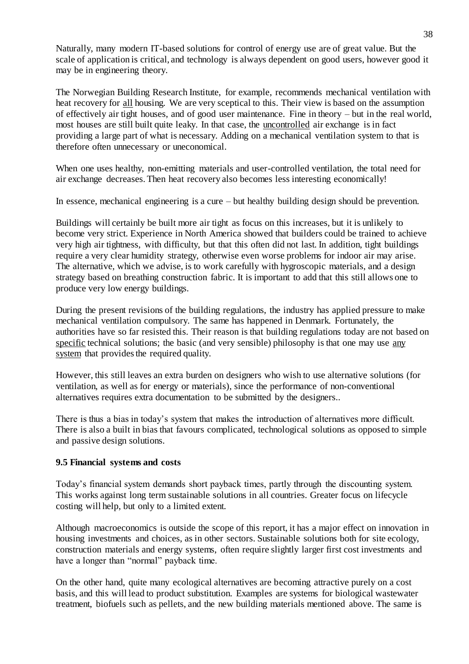Naturally, many modern IT-based solutions for control of energy use are of great value. But the scale of application is critical, and technology is always dependent on good users, however good it may be in engineering theory.

The Norwegian Building Research Institute, for example, recommends mechanical ventilation with heat recovery for all housing. We are very sceptical to this. Their view is based on the assumption of effectively air tight houses, and of good user maintenance. Fine in theory – but in the real world, most houses are still built quite leaky. In that case, the uncontrolled air exchange is in fact providing a large part of what is necessary. Adding on a mechanical ventilation system to that is therefore often unnecessary or uneconomical.

When one uses healthy, non-emitting materials and user-controlled ventilation, the total need for air exchange decreases. Then heat recovery also becomes less interesting economically!

In essence, mechanical engineering is a cure – but healthy building design should be prevention.

Buildings will certainly be built more air tight as focus on this increases, but it is unlikely to become very strict. Experience in North America showed that builders could be trained to achieve very high air tightness, with difficulty, but that this often did not last. In addition, tight buildings require a very clear humidity strategy, otherwise even worse problems for indoor air may arise. The alternative, which we advise, is to work carefully with hygroscopic materials, and a design strategy based on breathing construction fabric. It is important to add that this still allows one to produce very low energy buildings.

During the present revisions of the building regulations, the industry has applied pressure to make mechanical ventilation compulsory. The same has happened in Denmark. Fortunately, the authorities have so far resisted this. Their reason is that building regulations today are not based on specific technical solutions; the basic (and very sensible) philosophy is that one may use any system that provides the required quality.

However, this still leaves an extra burden on designers who wish to use alternative solutions (for ventilation, as well as for energy or materials), since the performance of non-conventional alternatives requires extra documentation to be submitted by the designers..

There is thus a bias in today's system that makes the introduction of alternatives more difficult. There is also a built in bias that favours complicated, technological solutions as opposed to simple and passive design solutions.

### **9.5 Financial systems and costs**

Today's financial system demands short payback times, partly through the discounting system. This works against long term sustainable solutions in all countries. Greater focus on lifecycle costing will help, but only to a limited extent.

Although macroeconomics is outside the scope of this report, it has a major effect on innovation in housing investments and choices, as in other sectors. Sustainable solutions both for site ecology, construction materials and energy systems, often require slightly larger first cost investments and have a longer than "normal" payback time.

On the other hand, quite many ecological alternatives are becoming attractive purely on a cost basis, and this will lead to product substitution. Examples are systems for biological wastewater treatment, biofuels such as pellets, and the new building materials mentioned above. The same is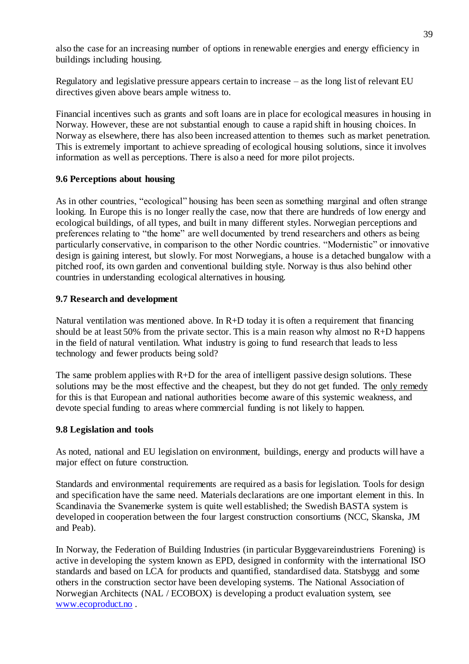also the case for an increasing number of options in renewable energies and energy efficiency in buildings including housing.

Regulatory and legislative pressure appears certain to increase – as the long list of relevant EU directives given above bears ample witness to.

Financial incentives such as grants and soft loans are in place for ecological measures in housing in Norway. However, these are not substantial enough to cause a rapid shift in housing choices. In Norway as elsewhere, there has also been increased attention to themes such as market penetration. This is extremely important to achieve spreading of ecological housing solutions, since it involves information as well as perceptions. There is also a need for more pilot projects.

# **9.6 Perceptions about housing**

As in other countries, "ecological" housing has been seen as something marginal and often strange looking. In Europe this is no longer really the case, now that there are hundreds of low energy and ecological buildings, of all types, and built in many different styles. Norwegian perceptions and preferences relating to "the home" are well documented by trend researchers and others as being particularly conservative, in comparison to the other Nordic countries. "Modernistic" or innovative design is gaining interest, but slowly. For most Norwegians, a house is a detached bungalow with a pitched roof, its own garden and conventional building style. Norway is thus also behind other countries in understanding ecological alternatives in housing.

## **9.7 Research and development**

Natural ventilation was mentioned above. In  $R+D$  today it is often a requirement that financing should be at least 50% from the private sector. This is a main reason why almost no R+D happens in the field of natural ventilation. What industry is going to fund research that leads to less technology and fewer products being sold?

The same problem applies with  $R+D$  for the area of intelligent passive design solutions. These solutions may be the most effective and the cheapest, but they do not get funded. The only remedy for this is that European and national authorities become aware of this systemic weakness, and devote special funding to areas where commercial funding is not likely to happen.

### **9.8 Legislation and tools**

As noted, national and EU legislation on environment, buildings, energy and products will have a major effect on future construction.

Standards and environmental requirements are required as a basis for legislation. Tools for design and specification have the same need. Materials declarations are one important element in this. In Scandinavia the Svanemerke system is quite well established; the Swedish BASTA system is developed in cooperation between the four largest construction consortiums (NCC, Skanska, JM and Peab).

In Norway, the Federation of Building Industries (in particular Byggevareindustriens Forening) is active in developing the system known as EPD, designed in conformity with the international ISO standards and based on LCA for products and quantified, standardised data. Statsbygg and some others in the construction sector have been developing systems. The National Association of Norwegian Architects (NAL / ECOBOX) is developing a product evaluation system, see [www.ecoproduct.no](http://www.ecoproduct.no/) .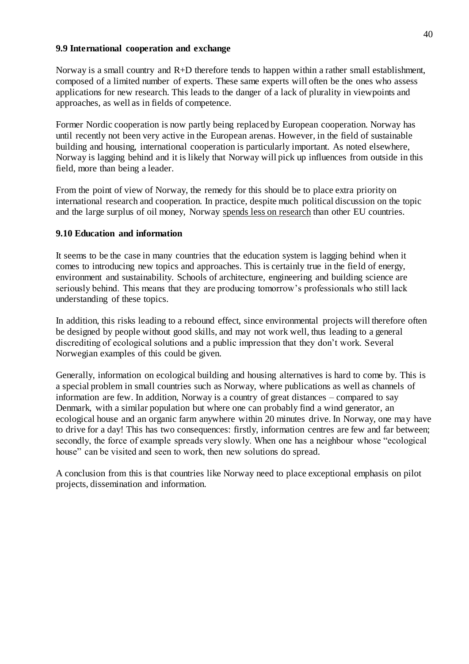### **9.9 International cooperation and exchange**

Norway is a small country and R+D therefore tends to happen within a rather small establishment, composed of a limited number of experts. These same experts will often be the ones who assess applications for new research. This leads to the danger of a lack of plurality in viewpoints and approaches, as well as in fields of competence.

Former Nordic cooperation is now partly being replaced by European cooperation. Norway has until recently not been very active in the European arenas. However, in the field of sustainable building and housing, international cooperation is particularly important. As noted elsewhere, Norway is lagging behind and it is likely that Norway will pick up influences from outside in this field, more than being a leader.

From the point of view of Norway, the remedy for this should be to place extra priority on international research and cooperation. In practice, despite much political discussion on the topic and the large surplus of oil money, Norway spends less on research than other EU countries.

### **9.10 Education and information**

It seems to be the case in many countries that the education system is lagging behind when it comes to introducing new topics and approaches. This is certainly true in the field of energy, environment and sustainability. Schools of architecture, engineering and building science are seriously behind. This means that they are producing tomorrow's professionals who still lack understanding of these topics.

In addition, this risks leading to a rebound effect, since environmental projects will therefore often be designed by people without good skills, and may not work well, thus leading to a general discrediting of ecological solutions and a public impression that they don't work. Several Norwegian examples of this could be given.

Generally, information on ecological building and housing alternatives is hard to come by. This is a special problem in small countries such as Norway, where publications as well as channels of information are few. In addition, Norway is a country of great distances – compared to say Denmark, with a similar population but where one can probably find a wind generator, an ecological house and an organic farm anywhere within 20 minutes drive. In Norway, one may have to drive for a day! This has two consequences: firstly, information centres are few and far between; secondly, the force of example spreads very slowly. When one has a neighbour whose "ecological house" can be visited and seen to work, then new solutions do spread.

A conclusion from this is that countries like Norway need to place exceptional emphasis on pilot projects, dissemination and information.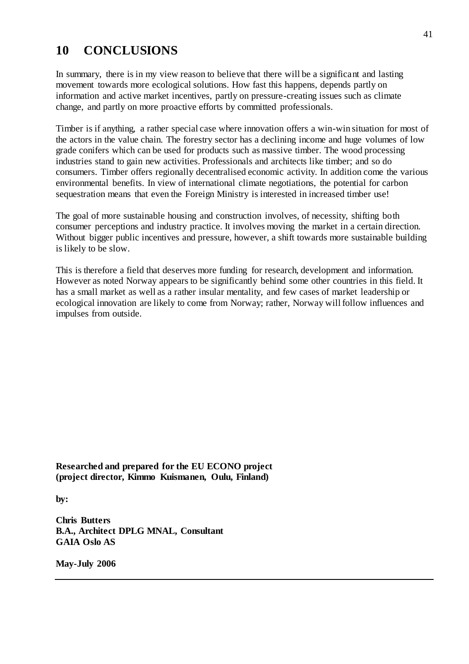# **10 CONCLUSIONS**

In summary, there is in my view reason to believe that there will be a significant and lasting movement towards more ecological solutions. How fast this happens, depends partly on information and active market incentives, partly on pressure-creating issues such as climate change, and partly on more proactive efforts by committed professionals.

Timber is if anything, a rather special case where innovation offers a win-win situation for most of the actors in the value chain. The forestry sector has a declining income and huge volumes of low grade conifers which can be used for products such as massive timber. The wood processing industries stand to gain new activities. Professionals and architects like timber; and so do consumers. Timber offers regionally decentralised economic activity. In addition come the various environmental benefits. In view of international climate negotiations, the potential for carbon sequestration means that even the Foreign Ministry is interested in increased timber use!

The goal of more sustainable housing and construction involves, of necessity, shifting both consumer perceptions and industry practice. It involves moving the market in a certain direction. Without bigger public incentives and pressure, however, a shift towards more sustainable building is likely to be slow.

This is therefore a field that deserves more funding for research, development and information. However as noted Norway appears to be significantly behind some other countries in this field. It has a small market as well as a rather insular mentality, and few cases of market leadership or ecological innovation are likely to come from Norway; rather, Norway will follow influences and impulses from outside.

**Researched and prepared for the EU ECONO project (project director, Kimmo Kuismanen, Oulu, Finland)**

**by:**

**Chris Butters B.A., Architect DPLG MNAL, Consultant GAIA Oslo AS**

**May-July 2006**